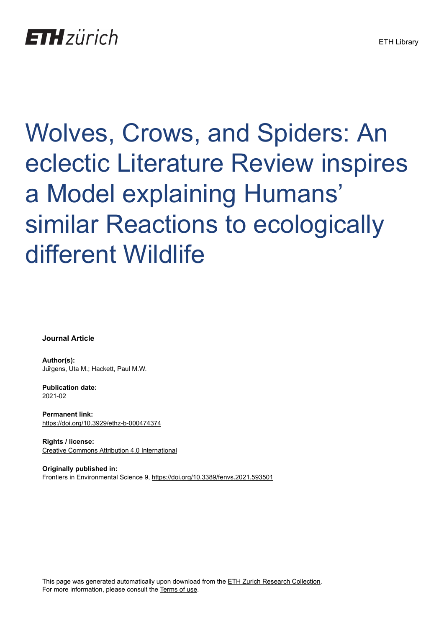# Wolves, Crows, and Spiders: An eclectic Literature Review inspires a Model explaining Humans' similar Reactions to ecologically different Wildlife

**Journal Article**

**Author(s):** Jürgens, Uta M.; Hackett, Paul M.W.

**Publication date:** 2021-02

**Permanent link:** <https://doi.org/10.3929/ethz-b-000474374>

**Rights / license:** [Creative Commons Attribution 4.0 International](http://creativecommons.org/licenses/by/4.0/)

**Originally published in:** Frontiers in Environmental Science 9, <https://doi.org/10.3389/fenvs.2021.593501>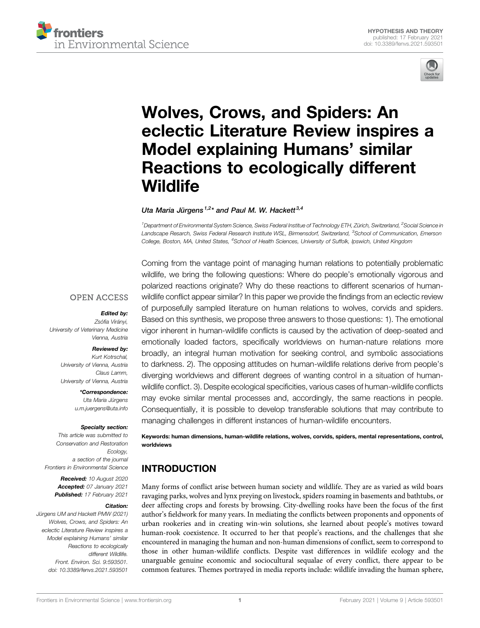



# [Wolves, Crows, and Spiders: An](https://www.frontiersin.org/articles/10.3389/fenvs.2021.593501/full) [eclectic Literature Review inspires a](https://www.frontiersin.org/articles/10.3389/fenvs.2021.593501/full) [Model explaining Humans](https://www.frontiersin.org/articles/10.3389/fenvs.2021.593501/full)' similar [Reactions to ecologically different](https://www.frontiersin.org/articles/10.3389/fenvs.2021.593501/full) **[Wildlife](https://www.frontiersin.org/articles/10.3389/fenvs.2021.593501/full)**

Uta Maria Jürgens<sup>1,2</sup>\* and Paul M. W. Hackett<sup>3,4</sup>

<sup>1</sup> Department of Environmental System Science, Swiss Federal Institue of Technology ETH, Zürich, Switzerland, <sup>2</sup>Social Science in Landscape Resarch, Swiss Federal Research Institute WSL, Birmensdorf, Switzerland, <sup>3</sup>School of Communication, Emerson College, Boston, MA, United States, <sup>4</sup>School of Health Sciences, University of Suffolk, Ipswich, United Kingdom

#### **OPEN ACCESS**

#### Edited by:

Zsófia Virányi, University of Veterinary Medicine Vienna, Austria

#### Reviewed by:

Kurt Kotrschal, University of Vienna, Austria Claus Lamm, University of Vienna, Austria

> \*Correspondence: Uta Maria Jürgens [u.m.juergens@uta.info](mailto:u.m.juergens@uta.info)

#### Specialty section:

This article was submitted to Conservation and Restoration Ecology, a section of the journal Frontiers in Environmental Science

> Received: 10 August 2020 Accepted: 07 January 2021 Published: 17 February 2021

#### Citation:

Jürgens UM and Hackett PMW (2021) Wolves, Crows, and Spiders: An eclectic Literature Review inspires a Model explaining Humans' similar Reactions to ecologically different Wildlife. Front. Environ. Sci. 9:593501. doi: [10.3389/fenvs.2021.593501](https://doi.org/10.3389/fenvs.2021.593501)

Coming from the vantage point of managing human relations to potentially problematic wildlife, we bring the following questions: Where do people's emotionally vigorous and polarized reactions originate? Why do these reactions to different scenarios of humanwildlife conflict appear similar? In this paper we provide the findings from an eclectic review of purposefully sampled literature on human relations to wolves, corvids and spiders. Based on this synthesis, we propose three answers to those questions: 1). The emotional vigor inherent in human-wildlife conflicts is caused by the activation of deep-seated and emotionally loaded factors, specifically worldviews on human-nature relations more broadly, an integral human motivation for seeking control, and symbolic associations to darkness. 2). The opposing attitudes on human-wildlife relations derive from people's diverging worldviews and different degrees of wanting control in a situation of humanwildlife conflict. 3). Despite ecological specificities, various cases of human-wildlife conflicts may evoke similar mental processes and, accordingly, the same reactions in people. Consequentially, it is possible to develop transferable solutions that may contribute to managing challenges in different instances of human-wildlife encounters.

Keywords: human dimensions, human-wildlife relations, wolves, corvids, spiders, mental representations, control, worldviews

# INTRODUCTION

Many forms of conflict arise between human society and wildlife. They are as varied as wild boars ravaging parks, wolves and lynx preying on livestock, spiders roaming in basements and bathtubs, or deer affecting crops and forests by browsing. City-dwelling rooks have been the focus of the first author's fieldwork for many years. In mediating the conflicts between proponents and opponents of urban rookeries and in creating win-win solutions, she learned about people's motives toward human-rook coexistence. It occurred to her that people's reactions, and the challenges that she encountered in managing the human and non-human dimensions of conflict, seem to correspond to those in other human-wildlife conflicts. Despite vast differences in wildlife ecology and the unarguable genuine economic and sociocultural sequalae of every conflict, there appear to be common features. Themes portrayed in media reports include: wildlife invading the human sphere,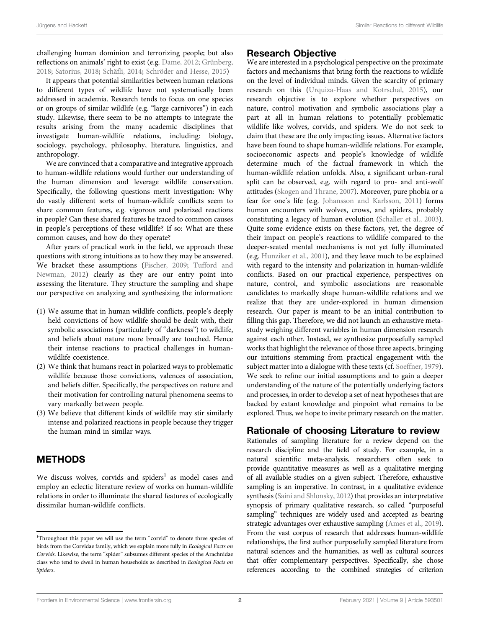challenging human dominion and terrorizing people; but also reflections on animals' right to exist (e.g. [Dame, 2012;](#page-15-0) [Grünberg,](#page-15-1) [2018](#page-15-1); [Satorius, 2018;](#page-16-0) Schäfl[i, 2014](#page-16-1); [Schröder and Hesse, 2015](#page-17-0))

It appears that potential similarities between human relations to different types of wildlife have not systematically been addressed in academia. Research tends to focus on one species or on groups of similar wildlife (e.g. "large carnivores") in each study. Likewise, there seem to be no attempts to integrate the results arising from the many academic disciplines that investigate human-wildlife relations, including: biology, sociology, psychology, philosophy, literature, linguistics, and anthropology.

We are convinced that a comparative and integrative approach to human-wildlife relations would further our understanding of the human dimension and leverage wildlife conservation. Specifically, the following questions merit investigation: Why do vastly different sorts of human-wildlife conflicts seem to share common features, e.g. vigorous and polarized reactions in people? Can these shared features be traced to common causes in people's perceptions of these wildlife? If so: What are these common causes, and how do they operate?

After years of practical work in the field, we approach these questions with strong intuitions as to how they may be answered. We bracket these assumptions ([Fischer, 2009;](#page-15-2) [Tufford and](#page-17-1) [Newman, 2012](#page-17-1)) clearly as they are our entry point into assessing the literature. They structure the sampling and shape our perspective on analyzing and synthesizing the information:

- (1) We assume that in human wildlife conflicts, people's deeply held convictions of how wildlife should be dealt with, their symbolic associations (particularly of "darkness") to wildlife, and beliefs about nature more broadly are touched. Hence their intense reactions to practical challenges in humanwildlife coexistence.
- (2) We think that humans react in polarized ways to problematic wildlife because those convictions, valences of association, and beliefs differ. Specifically, the perspectives on nature and their motivation for controlling natural phenomena seems to vary markedly between people.
- (3) We believe that different kinds of wildlife may stir similarly intense and polarized reactions in people because they trigger the human mind in similar ways.

# METHODS

We discuss wolves, corvids and spiders<sup>1</sup> as model cases and employ an eclectic literature review of works on human-wildlife relations in order to illuminate the shared features of ecologically dissimilar human-wildlife conflicts.

# Research Objective

We are interested in a psychological perspective on the proximate factors and mechanisms that bring forth the reactions to wildlife on the level of individual minds. Given the scarcity of primary research on this [\(Urquiza-Haas and Kotrschal, 2015](#page-17-2)), our research objective is to explore whether perspectives on nature, control motivation and symbolic associations play a part at all in human relations to potentially problematic wildlife like wolves, corvids, and spiders. We do not seek to claim that these are the only impacting issues. Alternative factors have been found to shape human-wildlife relations. For example, socioeconomic aspects and people's knowledge of wildlife determine much of the factual framework in which the human-wildlife relation unfolds. Also, a significant urban-rural split can be observed, e.g. with regard to pro- and anti-wolf attitudes ([Skogen and Thrane, 2007](#page-17-3)). Moreover, pure phobia or a fear for one's life (e.g. [Johansson and Karlsson, 2011](#page-16-2)) forms human encounters with wolves, crows, and spiders, probably constituting a legacy of human evolution [\(Schaller et al., 2003\)](#page-17-4). Quite some evidence exists on these factors, yet, the degree of their impact on people's reactions to wildlife compared to the deeper-seated mental mechanisms is not yet fully illuminated (e.g. [Hunziker et al., 2001](#page-16-3)), and they leave much to be explained with regard to the intensity and polarization in human-wildlife conflicts. Based on our practical experience, perspectives on nature, control, and symbolic associations are reasonable candidates to markedly shape human-wildlife relations and we realize that they are under-explored in human dimension research. Our paper is meant to be an initial contribution to filling this gap. Therefore, we did not launch an exhaustive metastudy weighing different variables in human dimension research against each other. Instead, we synthesize purposefully sampled works that highlight the relevance of those three aspects, bringing our intuitions stemming from practical engagement with the subject matter into a dialogue with these texts (cf. [Soeffner, 1979\)](#page-17-5). We seek to refine our initial assumptions and to gain a deeper understanding of the nature of the potentially underlying factors and processes, in order to develop a set of neat hypotheses that are backed by extant knowledge and pinpoint what remains to be explored. Thus, we hope to invite primary research on the matter.

# Rationale of choosing Literature to review

Rationales of sampling literature for a review depend on the research discipline and the field of study. For example, in a natural scientific meta-analysis, researchers often seek to provide quantitative measures as well as a qualitative merging of all available studies on a given subject. Therefore, exhaustive sampling is an imperative. In contrast, in a qualitative evidence synthesis [\(Saini and Shlonsky, 2012\)](#page-16-4) that provides an interpretative synopsis of primary qualitative research, so called "purposeful sampling" techniques are widely used and accepted as bearing strategic advantages over exhaustive sampling [\(Ames et al., 2019\)](#page-14-0). From the vast corpus of research that addresses human-wildlife relationships, the first author purposefully sampled literature from natural sciences and the humanities, as well as cultural sources that offer complementary perspectives. Specifically, she chose references according to the combined strategies of criterion

<sup>&</sup>lt;sup>1</sup>Throughout this paper we will use the term "corvid" to denote three species of birds from the Corvidae family, which we explain more fully in Ecological Facts on Corvids. Likewise, the term "spider" subsumes different species of the Arachnidae class who tend to dwell in human households as described in Ecological Facts on Spiders.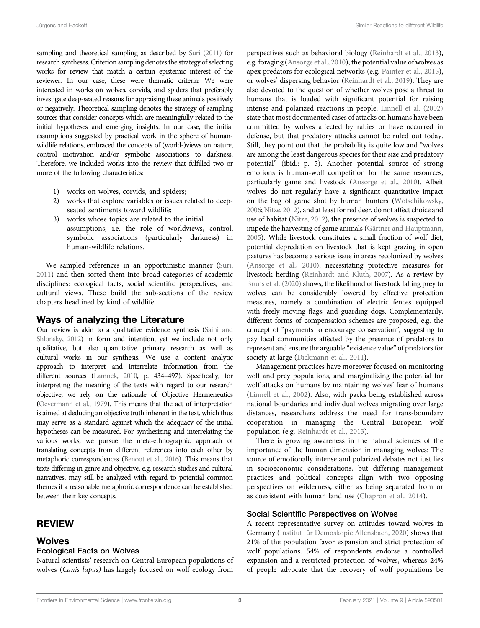sampling and theoretical sampling as described by [Suri \(2011\)](#page-17-6) for research syntheses. Criterion sampling denotes the strategy of selecting works for review that match a certain epistemic interest of the reviewer. In our case, these were thematic criteria: We were interested in works on wolves, corvids, and spiders that preferably investigate deep-seated reasons for appraising these animals positively or negatively. Theoretical sampling denotes the strategy of sampling sources that consider concepts which are meaningfully related to the initial hypotheses and emerging insights. In our case, the initial assumptions suggested by practical work in the sphere of humanwildlife relations, embraced the concepts of (world-)views on nature, control motivation and/or symbolic associations to darkness. Therefore, we included works into the review that fulfilled two or more of the following characteristics:

- 1) works on wolves, corvids, and spiders;
- 2) works that explore variables or issues related to deepseated sentiments toward wildlife;
- 3) works whose topics are related to the initial assumptions, i.e. the role of worldviews, control, symbolic associations (particularly darkness) in human-wildlife relations.

We sampled references in an opportunistic manner ([Suri,](#page-17-6) [2011](#page-17-6)) and then sorted them into broad categories of academic disciplines: ecological facts, social scientific perspectives, and cultural views. These build the sub-sections of the review chapters headlined by kind of wildlife.

#### Ways of analyzing the Literature

Our review is akin to a qualitative evidence synthesis [\(Saini and](#page-16-4) [Shlonsky, 2012](#page-16-4)) in form and intention, yet we include not only qualitative, but also quantitative primary research as well as cultural works in our synthesis. We use a content analytic approach to interpret and interrelate information from the different sources [\(Lamnek, 2010](#page-16-5), p. 434–497). Specifically, for interpreting the meaning of the texts with regard to our research objective, we rely on the rationale of Objective Hermeneutics [\(Oevermann et al., 1979\)](#page-16-6). This means that the act of interpretation is aimed at deducing an objective truth inherent in the text, which thus may serve as a standard against which the adequacy of the initial hypotheses can be measured. For synthesizing and interrelating the various works, we pursue the meta-ethnographic approach of translating concepts from different references into each other by metaphoric correspondences [\(Benoot et al., 2016\)](#page-15-3). This means that texts differing in genre and objective, e.g. research studies and cultural narratives, may still be analyzed with regard to potential common themes if a reasonable metaphoric correspondence can be established between their key concepts.

# REVIEW

#### Wolves

#### Ecological Facts on Wolves

Natural scientists' research on Central European populations of wolves (Canis lupus) has largely focused on wolf ecology from

perspectives such as behavioral biology [\(Reinhardt et al., 2013\)](#page-16-7), e.g. foraging ([Ansorge et al., 2010\)](#page-14-1), the potential value of wolves as apex predators for ecological networks (e.g. [Painter et al., 2015\)](#page-16-8), or wolves' dispersing behavior [\(Reinhardt et al., 2019\)](#page-16-9). They are also devoted to the question of whether wolves pose a threat to humans that is loaded with significant potential for raising intense and polarized reactions in people. [Linnell et al. \(2002\)](#page-16-10) state that most documented cases of attacks on humans have been committed by wolves affected by rabies or have occurred in defense, but that predatory attacks cannot be ruled out today. Still, they point out that the probability is quite low and "wolves are among the least dangerous species for their size and predatory potential" (ibid.: p. 5). Another potential source of strong emotions is human-wolf competition for the same resources, particularly game and livestock [\(Ansorge et al., 2010](#page-14-1)). Albeit wolves do not regularly have a significant quantitative impact on the bag of game shot by human hunters [\(Wotschikowsky,](#page-17-7) [2006;](#page-17-7) [Nitze, 2012\)](#page-16-11), and at least for red deer, do not affect choice and use of habitat ([Nitze, 2012](#page-16-11)), the presence of wolves is suspected to impede the harvesting of game animals [\(Gärtner and Hauptmann,](#page-15-4) [2005\)](#page-15-4). While livestock constitutes a small fraction of wolf diet, potential depredation on livestock that is kept grazing in open pastures has become a serious issue in areas recolonized by wolves [\(Ansorge et al., 2010\)](#page-14-1), necessitating protective measures for livestock herding ([Reinhardt and Kluth, 2007\)](#page-16-12). As a review by [Bruns et al. \(2020\)](#page-15-5) shows, the likelihood of livestock falling prey to wolves can be considerably lowered by effective protection measures, namely a combination of electric fences equipped with freely moving flags, and guarding dogs. Complementarily, different forms of compensation schemes are proposed, e.g. the concept of "payments to encourage conservation", suggesting to pay local communities affected by the presence of predators to represent and ensure the arguable "existence value" of predators for society at large [\(Dickmann et al., 2011\)](#page-15-6).

Management practices have moreover focused on monitoring wolf and prey populations, and marginalizing the potential for wolf attacks on humans by maintaining wolves' fear of humans [\(Linnell et al., 2002\)](#page-16-10). Also, with packs being established across national boundaries and individual wolves migrating over large distances, researchers address the need for trans-boundary cooperation in managing the Central European wolf population (e.g. [Reinhardt et al., 2013](#page-16-7)).

There is growing awareness in the natural sciences of the importance of the human dimension in managing wolves: The source of emotionally intense and polarized debates not just lies in socioeconomic considerations, but differing management practices and political concepts align with two opposing perspectives on wilderness, either as being separated from or as coexistent with human land use [\(Chapron et al., 2014\)](#page-15-7).

#### Social Scientific Perspectives on Wolves

A recent representative survey on attitudes toward wolves in Germany [\(Institut für Demoskopie Allensbach, 2020](#page-16-13)) shows that 21% of the population favor expansion and strict protection of wolf populations. 54% of respondents endorse a controlled expansion and a restricted protection of wolves, whereas 24% of people advocate that the recovery of wolf populations be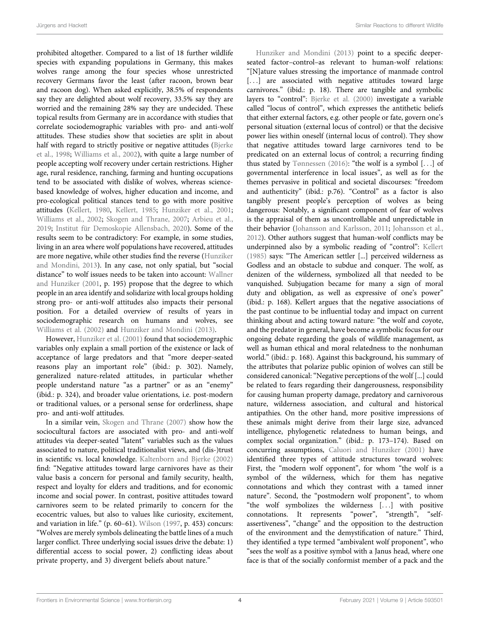prohibited altogether. Compared to a list of 18 further wildlife species with expanding populations in Germany, this makes wolves range among the four species whose unrestricted recovery Germans favor the least (after racoon, brown bear and racoon dog). When asked explicitly, 38.5% of respondents say they are delighted about wolf recovery, 33.5% say they are worried and the remaining 28% say they are undecided. These topical results from Germany are in accordance with studies that correlate sociodemographic variables with pro- and anti-wolf attitudes. These studies show that societies are split in about half with regard to strictly positive or negative attitudes [\(Bjerke](#page-15-8) [et al., 1998;](#page-15-8) [Williams et al., 2002](#page-17-8)), with quite a large number of people accepting wolf recovery under certain restrictions. Higher age, rural residence, ranching, farming and hunting occupations tend to be associated with dislike of wolves, whereas sciencebased knowledge of wolves, higher education and income, and pro-ecological political stances tend to go with more positive attitudes [\(Kellert, 1980](#page-16-14), [Kellert, 1985;](#page-16-15) [Hunziker et al., 2001](#page-16-3); [Williams et al., 2002](#page-17-8); [Skogen and Thrane, 2007](#page-17-3); [Arbieu et al.,](#page-14-2) [2019](#page-14-2); [Institut für Demoskopie Allensbach, 2020](#page-16-13)). Some of the results seem to be contradictory: For example, in some studies, living in an area where wolf populations have recovered, attitudes are more negative, while other studies find the reverse [\(Hunziker](#page-16-16) [and Mondini, 2013\)](#page-16-16). In any case, not only spatial, but "social distance" to wolf issues needs to be taken into account: [Wallner](#page-17-9) [and Hunziker \(2001,](#page-17-9) p. 195) propose that the degree to which people in an area identify and solidarize with local groups holding strong pro- or anti-wolf attitudes also impacts their personal position. For a detailed overview of results of years in sociodemographic research on humans and wolves, see [Williams et al. \(2002\)](#page-17-8) and [Hunziker and Mondini \(2013\).](#page-16-16)

However, [Hunziker et al. \(2001\)](#page-16-3) found that sociodemographic variables only explain a small portion of the existence or lack of acceptance of large predators and that "more deeper-seated reasons play an important role" (ibid.: p. 302). Namely, generalized nature-related attitudes, in particular whether people understand nature "as a partner" or as an "enemy" (ibid.: p. 324), and broader value orientations, i.e. post-modern or traditional values, or a personal sense for orderliness, shape pro- and anti-wolf attitudes.

In a similar vein, [Skogen and Thrane \(2007\)](#page-17-3) show how the sociocultural factors are associated with pro- and anti-wolf attitudes via deeper-seated "latent" variables such as the values associated to nature, political traditionalist views, and (dis-)trust in scientific vs. local knowledge. [Kaltenborn and Bjerke \(2002\)](#page-16-17) find: "Negative attitudes toward large carnivores have as their value basis a concern for personal and family security, health, respect and loyalty for elders and traditions, and for economic income and social power. In contrast, positive attitudes toward carnivores seem to be related primarily to concern for the ecocentric values, but also to values like curiosity, excitement, and variation in life." (p. 60–61). [Wilson \(1997,](#page-17-10) p. 453) concurs: "Wolves are merely symbols delineating the battle lines of a much larger conflict. Three underlying social issues drive the debate: 1) differential access to social power, 2) conflicting ideas about private property, and 3) divergent beliefs about nature."

[Hunziker and Mondini \(2013\)](#page-16-16) point to a specific deeperseated factor–control–as relevant to human-wolf relations: "[N]ature values stressing the importance of manmade control [...] are associated with negative attitudes toward large carnivores." (ibid.: p. 18). There are tangible and symbolic layers to "control": [Bjerke et al. \(2000\)](#page-15-9) investigate a variable called "locus of control", which expresses the antithetic beliefs that either external factors, e.g. other people or fate, govern one's personal situation (external locus of control) or that the decisive power lies within oneself (internal locus of control). They show that negative attitudes toward large carnivores tend to be predicated on an external locus of control; a recurring finding thus stated by [Tønnessen \(2016\):](#page-17-11) "the wolf is a symbol [...] of governmental interference in local issues", as well as for the themes pervasive in political and societal discourses: "freedom and authenticity" (ibid.: p.76). "Control" as a factor is also tangibly present people's perception of wolves as being dangerous: Notably, a significant component of fear of wolves is the appraisal of them as uncontrollable and unpredictable in their behavior [\(Johansson and Karlsson, 2011](#page-16-2); [Johansson et al.,](#page-16-18) [2012](#page-16-18)). Other authors suggest that human-wolf conflicts may be underpinned also by a symbolic reading of "control": [Kellert](#page-16-15) [\(1985\)](#page-16-15) says: "The American settler [...] perceived wilderness as Godless and an obstacle to subdue and conquer. The wolf, as denizen of the wilderness, symbolized all that needed to be vanquished. Subjugation became for many a sign of moral duty and obligation, as well as expressive of one's power" (ibid.: p. 168). Kellert argues that the negative associations of the past continue to be influential today and impact on current thinking about and acting toward nature: "the wolf and coyote, and the predator in general, have become a symbolic focus for our ongoing debate regarding the goals of wildlife management, as well as human ethical and moral relatedness to the nonhuman world." (ibid.: p. 168). Against this background, his summary of the attributes that polarize public opinion of wolves can still be considered canonical: "Negative perceptions of the wolf [...] could be related to fears regarding their dangerousness, responsibility for causing human property damage, predatory and carnivorous nature, wilderness association, and cultural and historical antipathies. On the other hand, more positive impressions of these animals might derive from their large size, advanced intelligence, phylogenetic relatedness to human beings, and complex social organization." (ibid.: p. 173–174). Based on concurring assumptions, [Caluori and Hunziker \(2001\)](#page-15-10) have identified three types of attitude structures toward wolves: First, the "modern wolf opponent", for whom "the wolf is a symbol of the wilderness, which for them has negative connotations and which they contrast with a tamed inner nature". Second, the "postmodern wolf proponent", to whom "the wolf symbolizes the wilderness [...] with positive connotations. It represents "power", "strength", "selfassertiveness", "change" and the opposition to the destruction of the environment and the demystification of nature." Third, they identified a type termed "ambivalent wolf proponent", who "sees the wolf as a positive symbol with a Janus head, where one face is that of the socially conformist member of a pack and the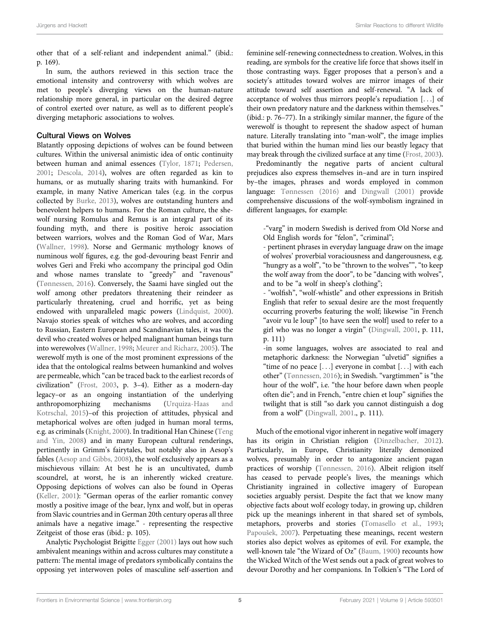other that of a self-reliant and independent animal." (ibid.: p. 169).

In sum, the authors reviewed in this section trace the emotional intensity and controversy with which wolves are met to people's diverging views on the human-nature relationship more general, in particular on the desired degree of control exerted over nature, as well as to different people's diverging metaphoric associations to wolves.

#### Cultural Views on Wolves

Blatantly opposing depictions of wolves can be found between cultures. Within the universal animistic idea of ontic continuity between human and animal essences ([Tylor, 1871](#page-17-12); [Pedersen,](#page-16-19) [2001](#page-16-19); [Descola, 2014\)](#page-15-11), wolves are often regarded as kin to humans, or as mutually sharing traits with humankind. For example, in many Native American tales (e.g. in the corpus collected by [Burke, 2013\)](#page-15-12), wolves are outstanding hunters and benevolent helpers to humans. For the Roman culture, the shewolf nursing Romulus and Remus is an integral part of its founding myth, and there is positive heroic association between warriors, wolves and the Roman God of War, Mars ([Wallner, 1998\)](#page-17-13). Norse and Germanic mythology knows of numinous wolf figures, e.g. the god-devouring beast Fenrir and wolves Geri and Freki who accompany the principal god Odin and whose names translate to "greedy" and "ravenous" ([Tønnessen, 2016\)](#page-17-11). Conversely, the Saami have singled out the wolf among other predators threatening their reindeer as particularly threatening, cruel and horrific, yet as being endowed with unparalleled magic powers [\(Lindquist, 2000\)](#page-16-20). Navajo stories speak of witches who are wolves, and according to Russian, Eastern European and Scandinavian tales, it was the devil who created wolves or helped malignant human beings turn into werewolves [\(Wallner, 1998](#page-17-13); [Meurer and Richarz, 2005\)](#page-16-21). The werewolf myth is one of the most prominent expressions of the idea that the ontological realms between humankind and wolves are permeable, which "can be traced back to the earliest records of civilization" [\(Frost, 2003,](#page-15-13) p. 3–4). Either as a modern-day legacy–or as an ongoing instantiation of the underlying anthropomorphizing mechanisms [\(Urquiza-Haas and](#page-17-2) [Kotrschal, 2015](#page-17-2))–of this projection of attitudes, physical and metaphorical wolves are often judged in human moral terms, e.g. as criminals [\(Knight, 2000\)](#page-16-22). In traditional Han Chinese ([Teng](#page-17-14) [and Yin, 2008\)](#page-17-14) and in many European cultural renderings, pertinently in Grimm's fairytales, but notably also in Aesop's fables [\(Aesop and Gibbs, 2008\)](#page-14-3), the wolf exclusively appears as a mischievous villain: At best he is an uncultivated, dumb scoundrel, at worst, he is an inherently wicked creature. Opposing depictions of wolves can also be found in Operas ([Keller, 2001\)](#page-16-23): "German operas of the earlier romantic convey mostly a positive image of the bear, lynx and wolf, but in operas from Slavic countries and in German 20th century operas all three animals have a negative image." - representing the respective Zeitgeist of those eras (ibid.: p. 105).

Analytic Psychologist Brigitte [Egger \(2001\)](#page-15-14) lays out how such ambivalent meanings within and across cultures may constitute a pattern: The mental image of predators symbolically contains the opposing yet interwoven poles of masculine self-assertion and feminine self-renewing connectedness to creation. Wolves, in this reading, are symbols for the creative life force that shows itself in those contrasting ways. Egger proposes that a person's and a society's attitudes toward wolves are mirror images of their attitude toward self assertion and self-renewal. "A lack of acceptance of wolves thus mirrors people's repudiation [...] of their own predatory nature and the darkness within themselves." (ibid.: p. 76–77). In a strikingly similar manner, the figure of the werewolf is thought to represent the shadow aspect of human nature. Literally translating into "man-wolf", the image implies that buried within the human mind lies our beastly legacy that may break through the civilized surface at any time ([Frost, 2003\)](#page-15-13).

Predominantly the negative parts of ancient cultural prejudices also express themselves in–and are in turn inspired by–the images, phrases and words employed in common language: [Tønnessen \(2016\)](#page-17-11) and [Dingwall \(2001\)](#page-15-15) provide comprehensive discussions of the wolf-symbolism ingrained in different languages, for example:

-"varg" in modern Swedish is derived from Old Norse and Old English words for "felon", "criminal";

- pertinent phrases in everyday language draw on the image of wolves' proverbial voraciousness and dangerousness, e.g. "hungry as a wolf", "to be "thrown to the wolves"", "to keep the wolf away from the door", to be "dancing with wolves", and to be "a wolf in sheep's clothing";

- "wolfish", "wolf-whistle" and other expressions in British English that refer to sexual desire are the most frequently occurring proverbs featuring the wolf; likewise "in French "avoir vu le loup" [to have seen the wolf] used to refer to a girl who was no longer a virgin" ([Dingwall, 2001](#page-15-15), p. 111, p. 111)

-in some languages, wolves are associated to real and metaphoric darkness: the Norwegian "ulvetid" signifies a "time of no peace [...] everyone in combat [...] with each other" ([Tønnessen, 2016\)](#page-17-11); in Swedish. "vargtimmen" is "the hour of the wolf", i.e. "the hour before dawn when people often die"; and in French, "entre chien et loup" signifies the twilight that is still "so dark you cannot distinguish a dog from a wolf" [\(Dingwall, 2001](#page-15-15)., p. 111).

Much of the emotional vigor inherent in negative wolf imagery has its origin in Christian religion [\(Dinzelbacher, 2012\)](#page-15-16). Particularly, in Europe, Christianity literally demonized wolves, presumably in order to antagonize ancient pagan practices of worship ([Tønnessen, 2016\)](#page-17-11). Albeit religion itself has ceased to pervade people's lives, the meanings which Christianity ingrained in collective imagery of European societies arguably persist. Despite the fact that we know many objective facts about wolf ecology today, in growing up, children pick up the meanings inherent in that shared set of symbols, metaphors, proverbs and stories ([Tomasello et al., 1993;](#page-17-15) [Papou](#page-16-24)š[ek, 2007](#page-16-24)). Perpetuating these meanings, recent western stories also depict wolves as epitomes of evil. For example, the well-known tale "the Wizard of Oz" [\(Baum, 1900](#page-15-17)) recounts how the Wicked Witch of the West sends out a pack of great wolves to devour Dorothy and her companions. In Tolkien's "The Lord of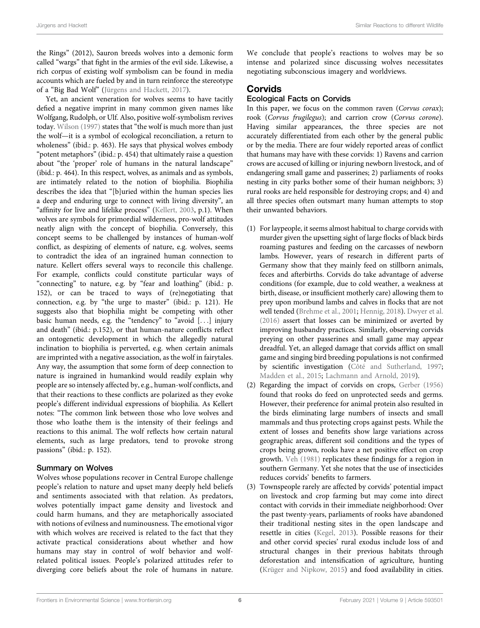the Rings" (2012), Sauron breeds wolves into a demonic form called "wargs" that fight in the armies of the evil side. Likewise, a rich corpus of existing wolf symbolism can be found in media accounts which are fueled by and in turn reinforce the stereotype of a "Big Bad Wolf" [\(Jürgens and Hackett, 2017](#page-16-25)).

Yet, an ancient veneration for wolves seems to have tacitly defied a negative imprint in many common given names like Wolfgang, Rudolph, or Ulf. Also, positive wolf-symbolism revives today. [Wilson \(1997\)](#page-17-10) states that "the wolf is much more than just the wolf—it is a symbol of ecological reconciliation, a return to wholeness" (ibid.: p. 463). He says that physical wolves embody "potent metaphors" (ibid.: p. 454) that ultimately raise a question about "the 'proper' role of humans in the natural landscape" (ibid.: p. 464). In this respect, wolves, as animals and as symbols, are intimately related to the notion of biophilia. Biophilia describes the idea that "[b]uried within the human species lies a deep and enduring urge to connect with living diversity", an "affinity for live and lifelike process" [\(Kellert, 2003,](#page-16-26) p.1). When wolves are symbols for primordial wilderness, pro-wolf attitudes neatly align with the concept of biophilia. Conversely, this concept seems to be challenged by instances of human-wolf conflict, as despizing of elements of nature, e.g. wolves, seems to contradict the idea of an ingrained human connection to nature. Kellert offers several ways to reconcile this challenge. For example, conflicts could constitute particular ways of "connecting" to nature, e.g. by "fear and loathing" (ibid.: p. 152), or can be traced to ways of (re)negotiating that connection, e.g. by "the urge to master" (ibid.: p. 121). He suggests also that biophilia might be competing with other basic human needs, e.g. the "tendency" to "avoid [...] injury and death" (ibid.: p.152), or that human-nature conflicts reflect an ontogenetic development in which the allegedly natural inclination to biophilia is perverted, e.g. when certain animals are imprinted with a negative association, as the wolf in fairytales. Any way, the assumption that some form of deep connection to nature is ingrained in humankind would readily explain why people are so intensely affected by, e.g., human-wolf conflicts, and that their reactions to these conflicts are polarized as they evoke people's different individual expressions of biophilia. As Kellert notes: "The common link between those who love wolves and those who loathe them is the intensity of their feelings and reactions to this animal. The wolf reflects how certain natural elements, such as large predators, tend to provoke strong passions" (ibid.: p. 152).

#### Summary on Wolves

Wolves whose populations recover in Central Europe challenge people's relation to nature and upset many deeply held beliefs and sentiments associated with that relation. As predators, wolves potentially impact game density and livestock and could harm humans, and they are metaphorically associated with notions of evilness and numinousness. The emotional vigor with which wolves are received is related to the fact that they activate practical considerations about whether and how humans may stay in control of wolf behavior and wolfrelated political issues. People's polarized attitudes refer to diverging core beliefs about the role of humans in nature.

We conclude that people's reactions to wolves may be so intense and polarized since discussing wolves necessitates negotiating subconscious imagery and worldviews.

#### Corvids

#### Ecological Facts on Corvids

In this paper, we focus on the common raven (Corvus corax); rook (Corvus frugilegus); and carrion crow (Corvus corone). Having similar appearances, the three species are not accurately differentiated from each other by the general public or by the media. There are four widely reported areas of conflict that humans may have with these corvids: 1) Ravens and carrion crows are accused of killing or injuring newborn livestock, and of endangering small game and passerines; 2) parliaments of rooks nesting in city parks bother some of their human neighbors; 3) rural rooks are held responsible for destroying crops; and 4) and all three species often outsmart many human attempts to stop their unwanted behaviors.

- (1) For laypeople, it seems almost habitual to charge corvids with murder given the upsetting sight of large flocks of black birds roaming pastures and feeding on the carcasses of newborn lambs. However, years of research in different parts of Germany show that they mainly feed on stillborn animals, feces and afterbirths. Corvids do take advantage of adverse conditions (for example, due to cold weather, a weakness at birth, disease, or insufficient motherly care) allowing them to prey upon moribund lambs and calves in flocks that are not well tended ([Brehme et al., 2001;](#page-15-18) [Hennig, 2018\)](#page-15-19). [Dwyer et al.](#page-15-20) [\(2016\)](#page-15-20) assert that losses can be minimized or averted by improving husbandry practices. Similarly, observing corvids preying on other passerines and small game may appear dreadful. Yet, an alleged damage that corvids afflict on small game and singing bird breeding populations is not confirmed by scientific investigation (Côté and Sutherland, 1997; [Madden et al., 2015;](#page-16-27) [Lachmann and Arnold, 2019](#page-16-28)).
- (2) Regarding the impact of corvids on crops, [Gerber \(1956\)](#page-15-22) found that rooks do feed on unprotected seeds and germs. However, their preference for animal protein also resulted in the birds eliminating large numbers of insects and small mammals and thus protecting crops against pests. While the extent of losses and benefits show large variations across geographic areas, different soil conditions and the types of crops being grown, rooks have a net positive effect on crop growth. [Veh \(1981\)](#page-17-16) replicates these findings for a region in southern Germany. Yet she notes that the use of insecticides reduces corvids' benefits to farmers.
- (3) Townspeople rarely are affected by corvids' potential impact on livestock and crop farming but may come into direct contact with corvids in their immediate neighborhood: Over the past twenty-years, parliaments of rooks have abandoned their traditional nesting sites in the open landscape and resettle in cities ([Kegel, 2013\)](#page-16-29). Possible reasons for their and other corvid species' rural exodus include loss of and structural changes in their previous habitats through deforestation and intensification of agriculture, hunting ([Krüger and Nipkow, 2015](#page-16-30)) and food availability in cities.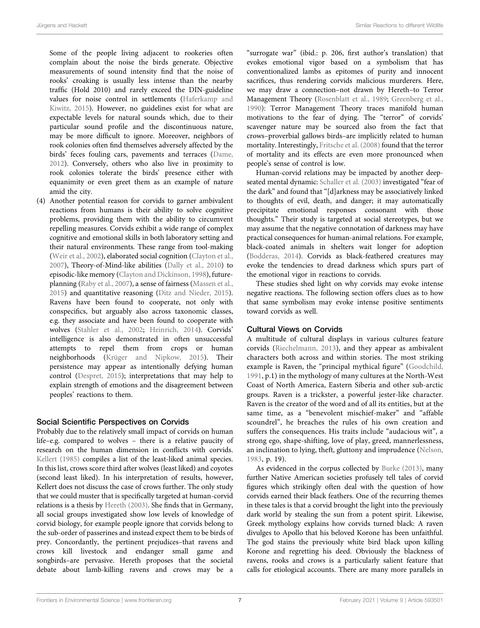Some of the people living adjacent to rookeries often complain about the noise the birds generate. Objective measurements of sound intensity find that the noise of rooks' croaking is usually less intense than the nearby traffic (Hold 2010) and rarely exceed the DIN-guideline values for noise control in settlements ([Haferkamp and](#page-15-23) [Kiwitz, 2015\)](#page-15-23). However, no guidelines exist for what are expectable levels for natural sounds which, due to their particular sound profile and the discontinuous nature, may be more difficult to ignore. Moreover, neighbors of rook colonies often find themselves adversely affected by the birds' feces fouling cars, pavements and terraces [\(Dame,](#page-15-0) [2012\)](#page-15-0). Conversely, others who also live in proximity to rook colonies tolerate the birds' presence either with equanimity or even greet them as an example of nature amid the city.

(4) Another potential reason for corvids to garner ambivalent reactions from humans is their ability to solve cognitive problems, providing them with the ability to circumvent repelling measures. Corvids exhibit a wide range of complex cognitive and emotional skills in both laboratory setting and their natural environments. These range from tool-making ([Weir et al., 2002](#page-17-17)), elaborated social cognition ([Clayton et al.,](#page-15-24) [2007\)](#page-15-24), Theory-of-Mind-like abilities ([Dally et al., 2010\)](#page-15-25) to episodic-like memory ([Clayton and Dickinson, 1998\)](#page-15-26), futureplanning [\(Raby et al., 2007\)](#page-16-31), a sense of fairness [\(Massen et al.,](#page-16-32) [2015\)](#page-16-32) and quantitative reasoning ([Ditz and Nieder, 2015\)](#page-15-27). Ravens have been found to cooperate, not only with conspecifics, but arguably also across taxonomic classes, e.g. they associate and have been found to cooperate with wolves [\(Stahler et al., 2002](#page-17-18); [Heinrich, 2014\)](#page-15-28). Corvids' intelligence is also demonstrated in often unsuccessful attempts to repel them from crops or human neighborhoods ([Krüger and Nipkow, 2015\)](#page-16-30). Their persistence may appear as intentionally defying human control [\(Despret, 2015\)](#page-15-29); interpretations that may help to explain strength of emotions and the disagreement between peoples' reactions to them.

#### Social Scientific Perspectives on Corvids

Probably due to the relatively small impact of corvids on human life–e.g. compared to wolves – there is a relative paucity of research on the human dimension in conflicts with corvids. [Kellert \(1985\)](#page-16-15) compiles a list of the least-liked animal species. In this list, crows score third after wolves (least liked) and coyotes (second least liked). In his interpretation of results, however, Kellert does not discuss the case of crows further. The only study that we could muster that is specifically targeted at human-corvid relations is a thesis by [Hereth \(2003\)](#page-16-33). She finds that in Germany, all social groups investigated show low levels of knowledge of corvid biology, for example people ignore that corvids belong to the sub-order of passerines and instead expect them to be birds of prey. Concordantly, the pertinent prejudices–that ravens and crows kill livestock and endanger small game and songbirds–are pervasive. Hereth proposes that the societal debate about lamb-killing ravens and crows may be a

"surrogate war" (ibid.: p. 206, first author's translation) that evokes emotional vigor based on a symbolism that has conventionalized lambs as epitomes of purity and innocent sacrifices, thus rendering corvids malicious murderers. Here, we may draw a connection–not drawn by Hereth–to Terror Management Theory ([Rosenblatt et al., 1989;](#page-16-34) [Greenberg et al.,](#page-15-30) [1990](#page-15-30)): Terror Management Theory traces manifold human motivations to the fear of dying. The "terror" of corvids' scavenger nature may be sourced also from the fact that crows–proverbial gallows birds–are implicitly related to human mortality. Interestingly, [Fritsche et al. \(2008\)](#page-15-31) found that the terror of mortality and its effects are even more pronounced when people's sense of control is low.

Human-corvid relations may be impacted by another deepseated mental dynamic: [Schaller et al. \(2003\)](#page-17-19) investigated "fear of the dark" and found that "[d]arkness may be associatively linked to thoughts of evil, death, and danger; it may automatically precipitate emotional responses consonant with those thoughts." Their study is targeted at social stereotypes, but we may assume that the negative connotation of darkness may have practical consequences for human-animal relations. For example, black-coated animals in shelters wait longer for adoption [\(Bodderas, 2014](#page-15-32)). Corvids as black-feathered creatures may evoke the tendencies to dread darkness which spurs part of the emotional vigor in reactions to corvids.

These studies shed light on why corvids may evoke intense negative reactions. The following section offers clues as to how that same symbolism may evoke intense positive sentiments toward corvids as well.

#### Cultural Views on Corvids

A multitude of cultural displays in various cultures feature corvids [\(Riechelmann, 2013\)](#page-16-35), and they appear as ambivalent characters both across and within stories. The most striking example is Raven, the "principal mythical figure" [\(Goodchild,](#page-15-33) [1991,](#page-15-33) p.1) in the mythology of many cultures at the North-West Coast of North America, Eastern Siberia and other sub-arctic groups. Raven is a trickster, a powerful jester-like character. Raven is the creator of the word and of all its entities, but at the same time, as a "benevolent mischief-maker" and "affable scoundrel", he breaches the rules of his own creation and suffers the consequences. His traits include "audacious wit", a strong ego, shape-shifting, love of play, greed, mannerlessness, an inclination to lying, theft, gluttony and imprudence ([Nelson,](#page-16-36) [1983,](#page-16-36) p. 19).

As evidenced in the corpus collected by [Burke \(2013\),](#page-15-12) many further Native American societies profusely tell tales of corvid figures which strikingly often deal with the question of how corvids earned their black feathers. One of the recurring themes in these tales is that a corvid brought the light into the previously dark world by stealing the sun from a potent spirit. Likewise, Greek mythology explains how corvids turned black: A raven divulges to Apollo that his beloved Korone has been unfaithful. The god stains the previously white bird black upon killing Korone and regretting his deed. Obviously the blackness of ravens, rooks and crows is a particularly salient feature that calls for etiological accounts. There are many more parallels in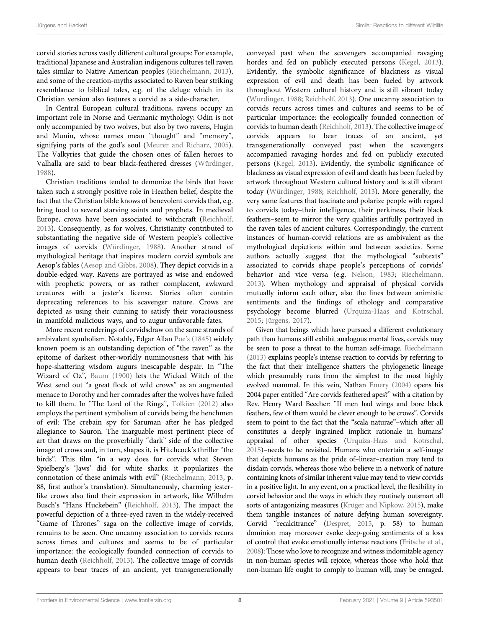corvid stories across vastly different cultural groups: For example, traditional Japanese and Australian indigenous cultures tell raven tales similar to Native American peoples ([Riechelmann, 2013\)](#page-16-35), and some of the creation-myths associated to Raven bear striking resemblance to biblical tales, e.g. of the deluge which in its Christian version also features a corvid as a side-character.

In Central European cultural traditions, ravens occupy an important role in Norse and Germanic mythology: Odin is not only accompanied by two wolves, but also by two ravens, Hugin and Munin, whose names mean "thought" and "memory", signifying parts of the god's soul [\(Meurer and Richarz, 2005\)](#page-16-21). The Valkyries that guide the chosen ones of fallen heroes to Valhalla are said to bear black-feathered dresses [\(Würdinger,](#page-17-20) [1988](#page-17-20)).

Christian traditions tended to demonize the birds that have taken such a strongly positive role in Heathen belief, despite the fact that the Christian bible knows of benevolent corvids that, e.g. bring food to several starving saints and prophets. In medieval Europe, crows have been associated to witchcraft ([Reichholf,](#page-16-37) [2013](#page-16-37)). Consequently, as for wolves, Christianity contributed to substantiating the negative side of Western people's collective images of corvids ([Würdinger, 1988\)](#page-17-20). Another strand of mythological heritage that inspires modern corvid symbols are Aesop's fables ([Aesop and Gibbs, 2008\)](#page-14-3). They depict corvids in a double-edged way. Ravens are portrayed as wise and endowed with prophetic powers, or as rather complacent, awkward creatures with a jester's license. Stories often contain deprecating references to his scavenger nature. Crows are depicted as using their cunning to satisfy their voraciousness in manifold malicious ways, and to augur unfavorable fates.

More recent renderings of corvidsdraw on the same strands of ambivalent symbolism. Notably, Edgar Allan Poe'[s \(1845\)](#page-16-38) widely known poem is an outstanding depiction of "the raven" as the epitome of darkest other-worldly numinousness that with his hope-shattering wisdom augurs inescapable despair. In "The Wizard of Oz", [Baum \(1900\)](#page-15-17) lets the Wicked Witch of the West send out "a great flock of wild crows" as an augmented menace to Dorothy and her comrades after the wolves have failed to kill them. In "The Lord of the Rings", [Tolkien \(2012\)](#page-17-21) also employs the pertinent symbolism of corvids being the henchmen of evil: The crebain spy for Saruman after he has pledged allegiance to Sauron. The inarguable most pertinent piece of art that draws on the proverbially "dark" side of the collective image of crows and, in turn, shapes it, is Hitchcock's thriller "the birds". This film "in a way does for corvids what Steven Spielberg's 'Jaws' did for white sharks: it popularizes the connotation of these animals with evil" ([Riechelmann, 2013,](#page-16-35) p. 88, first author's translation). Simultaneously, charming jesterlike crows also find their expression in artwork, like Wilhelm Busch's "Hans Huckebein" ([Reichholf, 2013](#page-16-37)). The impact the powerful depiction of a three-eyed raven in the widely-received "Game of Thrones" saga on the collective image of corvids, remains to be seen. One uncanny association to corvids recurs across times and cultures and seems to be of particular importance: the ecologically founded connection of corvids to human death [\(Reichholf, 2013\)](#page-16-37). The collective image of corvids appears to bear traces of an ancient, yet transgenerationally

conveyed past when the scavengers accompanied ravaging hordes and fed on publicly executed persons [\(Kegel, 2013\)](#page-16-29). Evidently, the symbolic significance of blackness as visual expression of evil and death has been fueled by artwork throughout Western cultural history and is still vibrant today [\(Würdinger, 1988;](#page-17-20) [Reichholf, 2013\)](#page-16-37). One uncanny association to corvids recurs across times and cultures and seems to be of particular importance: the ecologically founded connection of corvids to human death [\(Reichholf, 2013\)](#page-16-37). The collective image of corvids appears to bear traces of an ancient, yet transgenerationally conveyed past when the scavengers accompanied ravaging hordes and fed on publicly executed persons ([Kegel, 2013](#page-16-29)). Evidently, the symbolic significance of blackness as visual expression of evil and death has been fueled by artwork throughout Western cultural history and is still vibrant today [\(Würdinger, 1988;](#page-17-20) [Reichholf, 2013](#page-16-37)). More generally, the very same features that fascinate and polarize people with regard to corvids today–their intelligence, their perkiness, their black feathers–seem to mirror the very qualities artfully portrayed in the raven tales of ancient cultures. Correspondingly, the current instances of human-corvid relations are as ambivalent as the mythological depictions within and between societies. Some authors actually suggest that the mythological "subtexts" associated to corvids shape people's perceptions of corvids' behavior and vice versa (e.g. [Nelson, 1983;](#page-16-36) [Riechelmann,](#page-16-35) [2013](#page-16-35)). When mythology and appraisal of physical corvids mutually inform each other, also the lines between animistic sentiments and the findings of ethology and comparative psychology become blurred [\(Urquiza-Haas and Kotrschal,](#page-17-2) [2015](#page-17-2); [Jürgens, 2017](#page-16-39)).

Given that beings which have pursued a different evolutionary path than humans still exhibit analogous mental lives, corvids may be seen to pose a threat to the human self-image. [Riechelmann](#page-16-35) [\(2013\)](#page-16-35) explains people's intense reaction to corvids by referring to the fact that their intelligence shatters the phylogenetic lineage which presumably runs from the simplest to the most highly evolved mammal. In this vein, Nathan [Emery \(2004\)](#page-15-34) opens his 2004 paper entitled "Are corvids feathered apes?" with a citation by Rev. Henry Ward Beecher: "If men had wings and bore black feathers, few of them would be clever enough to be crows". Corvids seem to point to the fact that the "scala naturae"–which after all constitutes a deeply ingrained implicit rationale in humans' appraisal of other species ([Urquiza-Haas and Kotrschal,](#page-17-2) [2015\)](#page-17-2)–needs to be revisited. Humans who entertain a self-image that depicts humans as the pride of–linear–creation may tend to disdain corvids, whereas those who believe in a network of nature containing knots of similar inherent value may tend to view corvids in a positive light. In any event, on a practical level, the flexibility in corvid behavior and the ways in which they routinely outsmart all sorts of antagonizing measures ([Krüger and Nipkow, 2015](#page-16-30)), make them tangible instances of nature defying human sovereignty. Corvid "recalcitrance" ([Despret, 2015](#page-15-29), p. 58) to human dominion may moreover evoke deep-going sentiments of a loss of control that evoke emotionally intense reactions ([Fritsche et al.,](#page-15-31) [2008\)](#page-15-31): Those who love to recognize and witness indomitable agency in non-human species will rejoice, whereas those who hold that non-human life ought to comply to human will, may be enraged.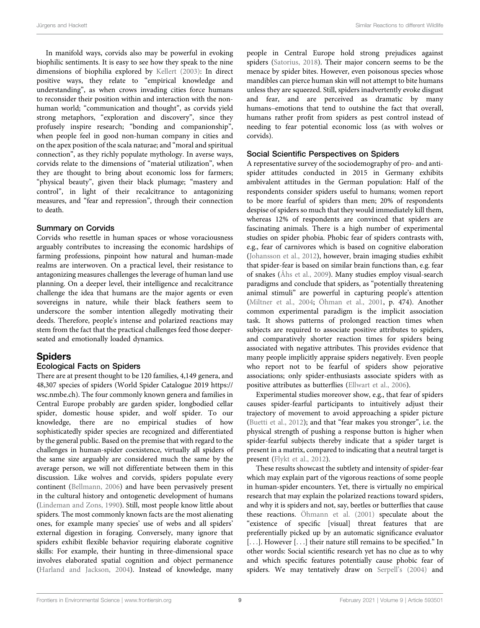In manifold ways, corvids also may be powerful in evoking biophilic sentiments. It is easy to see how they speak to the nine dimensions of biophilia explored by [Kellert \(2003\)](#page-16-26): In direct positive ways, they relate to "empirical knowledge and understanding", as when crows invading cities force humans to reconsider their position within and interaction with the nonhuman world; "communication and thought", as corvids yield strong metaphors, "exploration and discovery", since they profusely inspire research; "bonding and companionship", when people feel in good non-human company in cities and on the apex position of the scala naturae; and "moral and spiritual connection", as they richly populate mythology. In averse ways, corvids relate to the dimensions of "material utilization", when they are thought to bring about economic loss for farmers; "physical beauty", given their black plumage; "mastery and control", in light of their recalcitrance to antagonizing measures, and "fear and repression", through their connection to death.

#### Summary on Corvids

Corvids who resettle in human spaces or whose voraciousness arguably contributes to increasing the economic hardships of farming professions, pinpoint how natural and human-made realms are interwoven. On a practical level, their resistance to antagonizing measures challenges the leverage of human land use planning. On a deeper level, their intelligence and recalcitrance challenge the idea that humans are the major agents or even sovereigns in nature, while their black feathers seem to underscore the somber intention allegedly motivating their deeds. Therefore, people's intense and polarized reactions may stem from the fact that the practical challenges feed those deeperseated and emotionally loaded dynamics.

#### Spiders

#### Ecological Facts on Spiders

There are at present thought to be 120 families, 4,149 genera, and 48,307 species of spiders (World Spider Catalogue 2019 [https://](https://wsc.nmbe.ch) [wsc.nmbe.ch\)](https://wsc.nmbe.ch). The four commonly known genera and families in Central Europe probably are garden spider, longbodied cellar spider, domestic house spider, and wolf spider. To our knowledge, there are no empirical studies of how sophisticatedly spider species are recognized and differentiated by the general public. Based on the premise that with regard to the challenges in human-spider coexistence, virtually all spiders of the same size arguably are considered much the same by the average person, we will not differentiate between them in this discussion. Like wolves and corvids, spiders populate every continent [\(Bellmann, 2006\)](#page-15-35) and have been pervasively present in the cultural history and ontogenetic development of humans ([Lindeman and Zons, 1990](#page-16-40)). Still, most people know little about spiders. The most commonly known facts are the most alienating ones, for example many species' use of webs and all spiders' external digestion in foraging. Conversely, many ignore that spiders exhibit flexible behavior requiring elaborate cognitive skills: For example, their hunting in three-dimensional space involves elaborated spatial cognition and object permanence ([Harland and Jackson, 2004](#page-15-36)). Instead of knowledge, many

people in Central Europe hold strong prejudices against spiders ([Satorius, 2018](#page-16-0)). Their major concern seems to be the menace by spider bites. However, even poisonous species whose mandibles can pierce human skin will not attempt to bite humans unless they are squeezed. Still, spiders inadvertently evoke disgust and fear, and are perceived as dramatic by many humans–emotions that tend to outshine the fact that overall, humans rather profit from spiders as pest control instead of needing to fear potential economic loss (as with wolves or corvids).

#### Social Scientific Perspectives on Spiders

A representative survey of the sociodemography of pro- and antispider attitudes conducted in 2015 in Germany exhibits ambivalent attitudes in the German population: Half of the respondents consider spiders useful to humans; women report to be more fearful of spiders than men; 20% of respondents despise of spiders so much that they would immediately kill them, whereas 12% of respondents are convinced that spiders are fascinating animals. There is a high number of experimental studies on spider phobia. Phobic fear of spiders contrasts with, e.g., fear of carnivores which is based on cognitive elaboration [\(Johansson et al., 2012\)](#page-16-18), however, brain imaging studies exhibit that spider-fear is based on similar brain functions than, e.g. fear of snakes ([Åhs et al., 2009](#page-14-4)). Many studies employ visual-search paradigms and conclude that spiders, as "potentially threatening animal stimuli" are powerful in capturing people's attention [\(Miltner et al., 2004;](#page-16-41) [Öhman et al., 2001](#page-16-42), p. 474). Another common experimental paradigm is the implicit association task. It shows patterns of prolonged reaction times when subjects are required to associate positive attributes to spiders, and comparatively shorter reaction times for spiders being associated with negative attributes. This provides evidence that many people implicitly appraise spiders negatively. Even people who report not to be fearful of spiders show pejorative associations; only spider-enthusiasts associate spiders with as positive attributes as butterflies [\(Ellwart et al., 2006\)](#page-15-37).

Experimental studies moreover show, e.g., that fear of spiders causes spider-fearful participants to intuitively adjust their trajectory of movement to avoid approaching a spider picture [\(Buetti et al., 2012](#page-15-38)); and that "fear makes you stronger", i.e. the physical strength of pushing a response button is higher when spider-fearful subjects thereby indicate that a spider target is present in a matrix, compared to indicating that a neutral target is present [\(Flykt et al., 2012](#page-15-39)).

These results showcast the subtlety and intensity of spider-fear which may explain part of the vigorous reactions of some people in human-spider encounters. Yet, there is virtually no empirical research that may explain the polarized reactions toward spiders, and why it is spiders and not, say, beetles or butterflies that cause these reactions. [Öhmann et al. \(2001\)](#page-16-42) speculate about the "existence of specific [visual] threat features that are preferentially picked up by an automatic significance evaluator [...]. However [...] their nature still remains to be specified." In other words: Social scientific research yet has no clue as to why and which specific features potentially cause phobic fear of spiders. We may tentatively draw on Serpell'[s \(2004\)](#page-17-22) and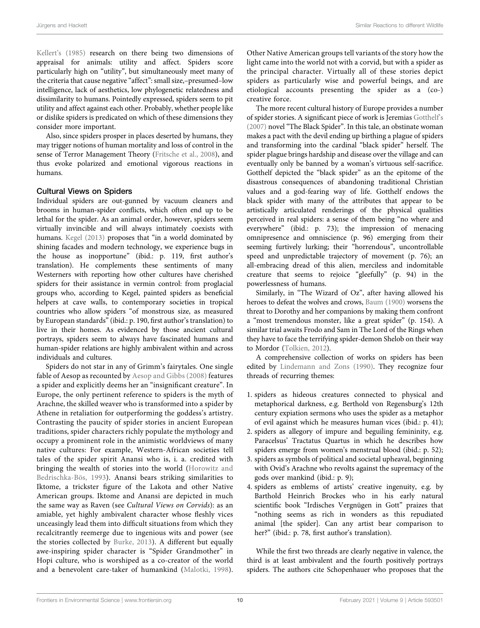Kellert'[s \(1985\)](#page-16-15) research on there being two dimensions of appraisal for animals: utility and affect. Spiders score particularly high on "utility", but simultaneously meet many of the criteria that cause negative "affect": small size,–presumed–low intelligence, lack of aesthetics, low phylogenetic relatedness and dissimilarity to humans. Pointedly expressed, spiders seem to pit utility and affect against each other. Probably, whether people like or dislike spiders is predicated on which of these dimensions they consider more important.

Also, since spiders prosper in places deserted by humans, they may trigger notions of human mortality and loss of control in the sense of Terror Management Theory [\(Fritsche et al., 2008\)](#page-15-31), and thus evoke polarized and emotional vigorous reactions in humans.

#### Cultural Views on Spiders

Individual spiders are out-gunned by vacuum cleaners and brooms in human-spider conflicts, which often end up to be lethal for the spider. As an animal order, however, spiders seem virtually invincible and will always intimately coexists with humans. [Kegel \(2013\)](#page-16-29) proposes that "in a world dominated by shining facades and modern technology, we experience bugs in the house as inopportune" (ibid.: p. 119, first author's translation). He complements these sentiments of many Westerners with reporting how other cultures have cherished spiders for their assistance in vermin control: from proglacial groups who, according to Kegel, painted spiders as beneficial helpers at cave walls, to contemporary societies in tropical countries who allow spiders "of monstrous size, as measured by European standards"(ibid.: p. 190, first author's translation) to live in their homes. As evidenced by those ancient cultural portrays, spiders seem to always have fascinated humans and human-spider relations are highly ambivalent within and across individuals and cultures.

Spiders do not star in any of Grimm's fairytales. One single fable of Aesop as recounted by [Aesop and Gibbs \(2008\)](#page-14-3) features a spider and explicitly deems her an "insignificant creature". In Europe, the only pertinent reference to spiders is the myth of Arachne, the skilled weaver who is transformed into a spider by Athene in retaliation for outperforming the goddess's artistry. Contrasting the paucity of spider stories in ancient European traditions, spider characters richly populate the mythology and occupy a prominent role in the animistic worldviews of many native cultures: For example, Western-African societies tell tales of the spider spirit Anansi who is, i. a. credited with bringing the wealth of stories into the world ([Horowitz and](#page-16-43) [Bedrischka-Bös, 1993\)](#page-16-43). Anansi bears striking similarities to Iktome, a trickster figure of the Lakota and other Native American groups. Iktome and Anansi are depicted in much the same way as Raven (see Cultural Views on Corvids): as an amiable, yet highly ambivalent character whose fleshly vices unceasingly lead them into difficult situations from which they recalcitrantly reemerge due to ingenious wits and power (see the stories collected by [Burke, 2013](#page-15-12)). A different but equally awe-inspiring spider character is "Spider Grandmother" in Hopi culture, who is worshiped as a co-creator of the world and a benevolent care-taker of humankind ([Malotki, 1998\)](#page-16-44).

Other Native American groups tell variants of the story how the light came into the world not with a corvid, but with a spider as the principal character. Virtually all of these stories depict spiders as particularly wise and powerful beings, and are etiological accounts presenting the spider as a (co-) creative force.

The more recent cultural history of Europe provides a number of spider stories. A significant piece of work is Jeremias [Gotthelf](#page-15-40)'s [\(2007\)](#page-15-40) novel "The Black Spider". In this tale, an obstinate woman makes a pact with the devil ending up birthing a plague of spiders and transforming into the cardinal "black spider" herself. The spider plague brings hardship and disease over the village and can eventually only be banned by a woman's virtuous self-sacrifice. Gotthelf depicted the "black spider" as an the epitome of the disastrous consequences of abandoning traditional Christian values and a god-fearing way of life. Gotthelf endows the black spider with many of the attributes that appear to be artistically articulated renderings of the physical qualities perceived in real spiders: a sense of them being "no where and everywhere" (ibid.: p. 73); the impression of menacing omnipresence and omniscience (p. 96) emerging from their seeming furtively lurking; their "horrendous", uncontrollable speed and unpredictable trajectory of movement (p. 76); an all-embracing dread of this alien, merciless and indomitable creature that seems to rejoice "gleefully" (p. 94) in the powerlessness of humans.

Similarly, in "The Wizard of Oz", after having allowed his heroes to defeat the wolves and crows, [Baum \(1900\)](#page-15-17) worsens the threat to Dorothy and her companions by making them confront a "most tremendous monster, like a great spider" (p. 154). A similar trial awaits Frodo and Sam in The Lord of the Rings when they have to face the terrifying spider-demon Shelob on their way to Mordor ([Tolkien, 2012](#page-17-21)).

A comprehensive collection of works on spiders has been edited by [Lindemann and Zons \(1990\).](#page-16-40) They recognize four threads of recurring themes:

- 1. spiders as hideous creatures connected to physical and metaphorical darkness, e.g. Berthold von Regensburg's 12th century expiation sermons who uses the spider as a metaphor of evil against which he measures human vices (ibid.: p. 41);
- 2. spiders as allegory of impure and beguiling femininity, e.g. Paracelsus' Tractatus Quartus in which he describes how spiders emerge from women's menstrual blood (ibid.: p. 52);
- 3. spiders as symbols of political and societal upheaval, beginning with Ovid's Arachne who revolts against the supremacy of the gods over mankind (ibid.: p. 9);
- 4. spiders as emblems of artists' creative ingenuity, e.g. by Barthold Heinrich Brockes who in his early natural scientific book "Irdisches Vergnügen in Gott" praizes that "nothing seems as rich in wonders as this repudiated animal [the spider]. Can any artist bear comparison to her?" (ibid.: p. 78, first author's translation).

While the first two threads are clearly negative in valence, the third is at least ambivalent and the fourth positively portrays spiders. The authors cite Schopenhauer who proposes that the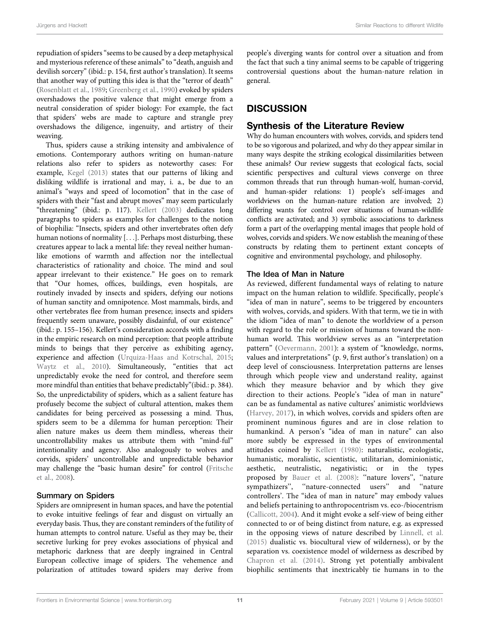repudiation of spiders"seems to be caused by a deep metaphysical and mysterious reference of these animals" to "death, anguish and devilish sorcery" (ibid.: p. 154, first author's translation). It seems that another way of putting this idea is that the "terror of death" ([Rosenblatt et al., 1989;](#page-16-34) [Greenberg et al., 1990](#page-15-30)) evoked by spiders overshadows the positive valence that might emerge from a neutral consideration of spider biology: For example, the fact that spiders' webs are made to capture and strangle prey overshadows the diligence, ingenuity, and artistry of their weaving.

Thus, spiders cause a striking intensity and ambivalence of emotions. Contemporary authors writing on human-nature relations also refer to spiders as noteworthy cases: For example, [Kegel \(2013\)](#page-16-29) states that our patterns of liking and disliking wildlife is irrational and may, i. a., be due to an animal's "ways and speed of locomotion" that in the case of spiders with their "fast and abrupt moves" may seem particularly "threatening" (ibid.: p. 117). [Kellert \(2003\)](#page-16-26) dedicates long paragraphs to spiders as examples for challenges to the notion of biophilia: "Insects, spiders and other invertebrates often defy human notions of normality [...]. Perhaps most disturbing, these creatures appear to lack a mental life: they reveal neither humanlike emotions of warmth and affection nor the intellectual characteristics of rationality and choice. The mind and soul appear irrelevant to their existence." He goes on to remark that "Our homes, offices, buildings, even hospitals, are routinely invaded by insects and spiders, defying our notions of human sanctity and omnipotence. Most mammals, birds, and other vertebrates flee from human presence; insects and spiders frequently seem unaware, possibly disdainful, of our existence" (ibid.: p. 155–156). Kellert's consideration accords with a finding in the empiric research on mind perception: that people attribute minds to beings that they perceive as exhibiting agency, experience and affection ([Urquiza-Haas and Kotrschal, 2015](#page-17-2); [Waytz et al., 2010\)](#page-17-23). Simultaneously, "entities that act unpredictably evoke the need for control, and therefore seem more mindful than entities that behave predictably"(ibid.: p. 384). So, the unpredictability of spiders, which as a salient feature has profusely become the subject of cultural attention, makes them candidates for being perceived as possessing a mind. Thus, spiders seem to be a dilemma for human perception: Their alien nature makes us deem them mindless, whereas their uncontrollability makes us attribute them with "mind-ful" intentionality and agency. Also analogously to wolves and corvids, spiders' uncontrollable and unpredictable behavior may challenge the "basic human desire" for control [\(Fritsche](#page-15-31) [et al., 2008](#page-15-31)).

#### Summary on Spiders

Spiders are omnipresent in human spaces, and have the potential to evoke intuitive feelings of fear and disgust on virtually an everyday basis. Thus, they are constant reminders of the futility of human attempts to control nature. Useful as they may be, their secretive lurking for prey evokes associations of physical and metaphoric darkness that are deeply ingrained in Central European collective image of spiders. The vehemence and polarization of attitudes toward spiders may derive from

people's diverging wants for control over a situation and from the fact that such a tiny animal seems to be capable of triggering controversial questions about the human-nature relation in general.

# DISCUSSION

# Synthesis of the Literature Review

Why do human encounters with wolves, corvids, and spiders tend to be so vigorous and polarized, and why do they appear similar in many ways despite the striking ecological dissimilarities between these animals? Our review suggests that ecological facts, social scientific perspectives and cultural views converge on three common threads that run through human-wolf, human-corvid, and human-spider relations: 1) people's self-images and worldviews on the human-nature relation are involved; 2) differing wants for control over situations of human-wildlife conflicts are activated; and 3) symbolic associations to darkness form a part of the overlapping mental images that people hold of wolves, corvids and spiders. We now establish the meaning of these constructs by relating them to pertinent extant concepts of cognitive and environmental psychology, and philosophy.

#### The Idea of Man in Nature

As reviewed, different fundamental ways of relating to nature impact on the human relation to wildlife. Specifically, people's "idea of man in nature", seems to be triggered by encounters with wolves, corvids, and spiders. With that term, we tie in with the idiom "idea of man" to denote the worldview of a person with regard to the role or mission of humans toward the nonhuman world. This worldview serves as an "interpretation pattern" ([Oevermann, 2001\)](#page-16-45): a system of "knowledge, norms, values and interpretations" (p. 9, first author's translation) on a deep level of consciousness. Interpretation patterns are lenses through which people view and understand reality, against which they measure behavior and by which they give direction to their actions. People's "idea of man in nature" can be as fundamental as native cultures' animistic worldviews [\(Harvey, 2017](#page-15-41)), in which wolves, corvids and spiders often are prominent numinous figures and are in close relation to humankind. A person's "idea of man in nature" can also more subtly be expressed in the types of environmental attitudes coined by [Kellert \(1980\)](#page-16-14): naturalistic, ecologistic, humanistic, moralistic, scientistic, utilitarian, dominionistic, aesthetic, neutralistic, negativistic; or in the types proposed by [Bauer et al. \(2008\):](#page-15-42) ''nature lovers'', ''nature sympathizers'', ''nature-connected users'' and ''nature controllers'. The "idea of man in nature" may embody values and beliefs pertaining to anthropocentrism vs. eco-/biocentrism [\(Callicott, 2004](#page-15-43)). And it might evoke a self-view of being either connected to or of being distinct from nature, e.g. as expressed in the opposing views of nature described by [Linnell, et al.](#page-16-46) [\(2015\)](#page-16-46) dualistic vs. biocultural view of wilderness), or by the separation vs. coexistence model of wilderness as described by [Chapron et al. \(2014\).](#page-15-7) Strong yet potentially ambivalent biophilic sentiments that inextricably tie humans in to the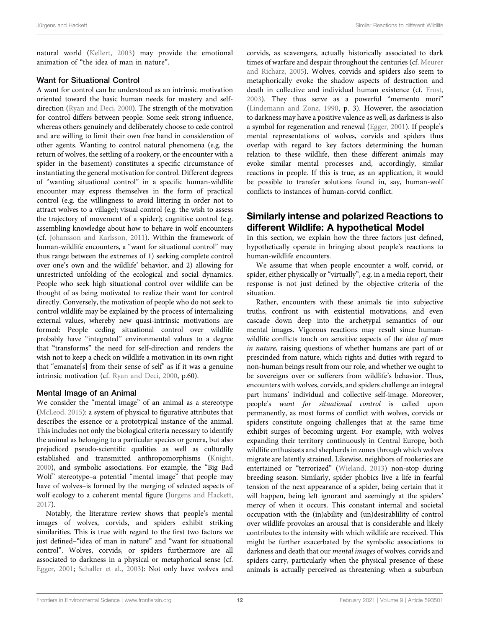natural world [\(Kellert, 2003](#page-16-26)) may provide the emotional animation of "the idea of man in nature".

#### Want for Situational Control

A want for control can be understood as an intrinsic motivation oriented toward the basic human needs for mastery and selfdirection [\(Ryan and Deci, 2000](#page-16-47)). The strength of the motivation for control differs between people: Some seek strong influence, whereas others genuinely and deliberately choose to cede control and are willing to limit their own free hand in consideration of other agents. Wanting to control natural phenomena (e.g. the return of wolves, the settling of a rookery, or the encounter with a spider in the basement) constitutes a specific circumstance of instantiating the general motivation for control. Different degrees of "wanting situational control" in a specific human-wildlife encounter may express themselves in the form of practical control (e.g. the willingness to avoid littering in order not to attract wolves to a village); visual control (e.g. the wish to assess the trajectory of movement of a spider); cognitive control (e.g. assembling knowledge about how to behave in wolf encounters (cf. [Johansson and Karlsson, 2011\)](#page-16-2). Within the framework of human-wildlife encounters, a "want for situational control" may thus range between the extremes of 1) seeking complete control over one's own and the wildlife' behavior, and 2) allowing for unrestricted unfolding of the ecological and social dynamics. People who seek high situational control over wildlife can be thought of as being motivated to realize their want for control directly. Conversely, the motivation of people who do not seek to control wildlife may be explained by the process of internalizing external values, whereby new quasi-intrinsic motivations are formed: People ceding situational control over wildlife probably have "integrated" environmental values to a degree that "transforms" the need for self-direction and renders the wish not to keep a check on wildlife a motivation in its own right that "emanate[s] from their sense of self" as if it was a genuine intrinsic motivation (cf. [Ryan and Deci, 2000](#page-16-47), p.60).

#### Mental Image of an Animal

We consider the "mental image" of an animal as a stereotype ([McLeod, 2015](#page-16-48)): a system of physical to figurative attributes that describes the essence or a prototypical instance of the animal. This includes not only the biological criteria necessary to identify the animal as belonging to a particular species or genera, but also prejudiced pseudo-scientific qualities as well as culturally established and transmitted anthropomorphisms ([Knight,](#page-16-22) [2000](#page-16-22)), and symbolic associations. For example, the "Big Bad Wolf" stereotype–a potential "mental image" that people may have of wolves–is formed by the merging of selected aspects of wolf ecology to a coherent mental figure ([Jürgens and Hackett,](#page-16-25) [2017](#page-16-25)).

Notably, the literature review shows that people's mental images of wolves, corvids, and spiders exhibit striking similarities. This is true with regard to the first two factors we just defined–"idea of man in nature" and "want for situational control". Wolves, corvids, or spiders furthermore are all associated to darkness in a physical or metaphorical sense (cf. [Egger, 2001](#page-15-14); [Schaller et al., 2003](#page-17-19)): Not only have wolves and

corvids, as scavengers, actually historically associated to dark times of warfare and despair throughout the centuries (cf. [Meurer](#page-16-21) [and Richarz, 2005](#page-16-21)). Wolves, corvids and spiders also seem to metaphorically evoke the shadow aspects of destruction and death in collective and individual human existence (cf. [Frost,](#page-15-13) [2003](#page-15-13)). They thus serve as a powerful "memento mori" [\(Lindemann and Zonz, 1990,](#page-16-40) p. 3). However, the association to darkness may have a positive valence as well, as darkness is also a symbol for regeneration and renewal ([Egger, 2001](#page-15-14)). If people's mental representations of wolves, corvids and spiders thus overlap with regard to key factors determining the human relation to these wildlife, then these different animals may evoke similar mental processes and, accordingly, similar reactions in people. If this is true, as an application, it would be possible to transfer solutions found in, say, human-wolf conflicts to instances of human-corvid conflict.

# Similarly intense and polarized Reactions to different Wildlife: A hypothetical Model

In this section, we explain how the three factors just defined, hypothetically operate in bringing about people's reactions to human-wildlife encounters.

We assume that when people encounter a wolf, corvid, or spider, either physically or "virtually", e.g. in a media report, their response is not just defined by the objective criteria of the situation.

Rather, encounters with these animals tie into subjective truths, confront us with existential motivations, and even cascade down deep into the archetypal semantics of our mental images. Vigorous reactions may result since humanwildlife conflicts touch on sensitive aspects of the idea of man in nature, raising questions of whether humans are part of or prescinded from nature, which rights and duties with regard to non-human beings result from our role, and whether we ought to be sovereigns over or sufferers from wildlife's behavior. Thus, encounters with wolves, corvids, and spiders challenge an integral part humans' individual and collective self-image. Moreover, people's want for situational control is called upon permanently, as most forms of conflict with wolves, corvids or spiders constitute ongoing challenges that at the same time exhibit surges of becoming urgent. For example, with wolves expanding their territory continuously in Central Europe, both wildlife enthusiasts and shepherds in zones through which wolves migrate are latently strained. Likewise, neighbors of rookeries are entertained or "terrorized" ([Wieland, 2013](#page-17-24)) non-stop during breeding season. Similarly, spider phobics live a life in fearful tension of the next appearance of a spider, being certain that it will happen, being left ignorant and seemingly at the spiders' mercy of when it occurs. This constant internal and societal occupation with the (in)ability and (un)desirablility of control over wildlife provokes an arousal that is considerable and likely contributes to the intensity with which wildlife are received. This might be further exacerbated by the symbolic associations to darkness and death that our mental images of wolves, corvids and spiders carry, particularly when the physical presence of these animals is actually perceived as threatening: when a suburban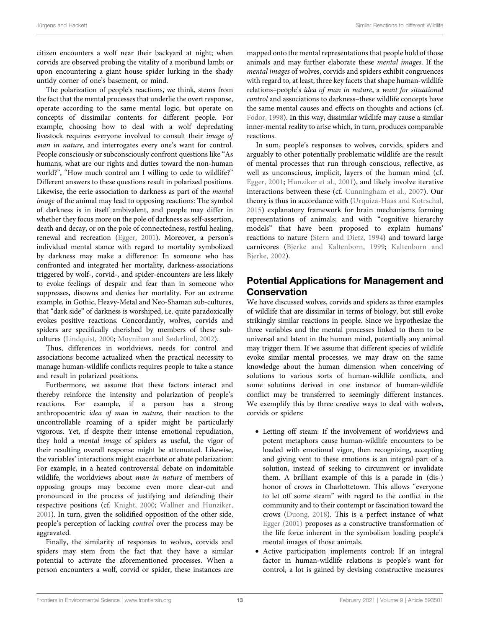citizen encounters a wolf near their backyard at night; when corvids are observed probing the vitality of a moribund lamb; or upon encountering a giant house spider lurking in the shady untidy corner of one's basement, or mind.

The polarization of people's reactions, we think, stems from the fact that the mental processes that underlie the overt response, operate according to the same mental logic, but operate on concepts of dissimilar contents for different people. For example, choosing how to deal with a wolf depredating livestock requires everyone involved to consult their image of man in nature, and interrogates every one's want for control. People consciously or subconsciously confront questions like "As humans, what are our rights and duties toward the non-human world?", "How much control am I willing to cede to wildlife?" Different answers to these questions result in polarized positions. Likewise, the eerie association to darkness as part of the mental image of the animal may lead to opposing reactions: The symbol of darkness is in itself ambivalent, and people may differ in whether they focus more on the pole of darkness as self-assertion, death and decay, or on the pole of connectedness, restful healing, renewal and recreation [\(Egger, 2001](#page-15-14)). Moreover, a person's individual mental stance with regard to mortality symbolized by darkness may make a difference: In someone who has confronted and integrated her mortality, darkness-associations triggered by wolf-, corvid-, and spider-encounters are less likely to evoke feelings of despair and fear than in someone who suppresses, disowns and denies her mortality. For an extreme example, in Gothic, Heavy-Metal and Neo-Shaman sub-cultures, that "dark side" of darkness is worshiped, i.e. quite paradoxically evokes positive reactions. Concordantly, wolves, corvids and spiders are specifically cherished by members of these subcultures ([Lindquist, 2000](#page-16-20); [Moynihan and Søderlind, 2002\)](#page-16-49).

Thus, differences in worldviews, needs for control and associations become actualized when the practical necessity to manage human-wildlife conflicts requires people to take a stance and result in polarized positions.

Furthermore, we assume that these factors interact and thereby reinforce the intensity and polarization of people's reactions. For example, if a person has a strong anthropocentric idea of man in nature, their reaction to the uncontrollable roaming of a spider might be particularly vigorous. Yet, if despite their intense emotional repudiation, they hold a mental image of spiders as useful, the vigor of their resulting overall response might be attenuated. Likewise, the variables' interactions might exacerbate or abate polarization: For example, in a heated controversial debate on indomitable wildlife, the worldviews about man in nature of members of opposing groups may become even more clear-cut and pronounced in the process of justifying and defending their respective positions (cf. [Knight, 2000;](#page-16-22) [Wallner and Hunziker,](#page-17-9) [2001](#page-17-9)). In turn, given the solidified opposition of the other side, people's perception of lacking control over the process may be aggravated.

Finally, the similarity of responses to wolves, corvids and spiders may stem from the fact that they have a similar potential to activate the aforementioned processes. When a person encounters a wolf, corvid or spider, these instances are

mapped onto the mental representations that people hold of those animals and may further elaborate these mental images. If the mental images of wolves, corvids and spiders exhibit congruences with regard to, at least, three key facets that shape human-wildlife relations–people's idea of man in nature, a want for situational control and associations to darkness–these wildlife concepts have the same mental causes and effects on thoughts and actions (cf. [Fodor, 1998\)](#page-15-44). In this way, dissimilar wildlife may cause a similar inner-mental reality to arise which, in turn, produces comparable reactions.

In sum, people's responses to wolves, corvids, spiders and arguably to other potentially problematic wildlife are the result of mental processes that run through conscious, reflective, as well as unconscious, implicit, layers of the human mind (cf. [Egger, 2001;](#page-15-14) [Hunziker et al., 2001](#page-16-3)), and likely involve iterative interactions between these (cf. [Cunningham et al., 2007\)](#page-15-45). Our theory is thus in accordance with ([Urquiza-Haas and Kotrschal,](#page-17-2) [2015\)](#page-17-2) explanatory framework for brain mechanisms forming representations of animals; and with "cognitive hierarchy models" that have been proposed to explain humans' reactions to nature [\(Stern and Dietz, 1994](#page-17-25)) and toward large carnivores ([Bjerke and Kaltenborn, 1999](#page-15-46); [Kaltenborn and](#page-16-17) [Bjerke, 2002](#page-16-17)).

# Potential Applications for Management and **Conservation**

We have discussed wolves, corvids and spiders as three examples of wildlife that are dissimilar in terms of biology, but still evoke strikingly similar reactions in people. Since we hypothesize the three variables and the mental processes linked to them to be universal and latent in the human mind, potentially any animal may trigger them. If we assume that different species of wildlife evoke similar mental processes, we may draw on the same knowledge about the human dimension when conceiving of solutions to various sorts of human-wildlife conflicts, and some solutions derived in one instance of human-wildlife conflict may be transferred to seemingly different instances. We exemplify this by three creative ways to deal with wolves, corvids or spiders:

- Letting off steam: If the involvement of worldviews and potent metaphors cause human-wildlife encounters to be loaded with emotional vigor, then recognizing, accepting and giving vent to these emotions is an integral part of a solution, instead of seeking to circumvent or invalidate them. A brilliant example of this is a parade in (dis-) honor of crows in Charlottetown. This allows "everyone to let off some steam" with regard to the conflict in the community and to their contempt or fascination toward the crows ([Duong, 2018\)](#page-15-47). This is a perfect instance of what [Egger \(2001\)](#page-15-14) proposes as a constructive transformation of the life force inherent in the symbolism loading people's mental images of those animals.
- Active participation implements control: If an integral factor in human-wildlife relations is people's want for control, a lot is gained by devising constructive measures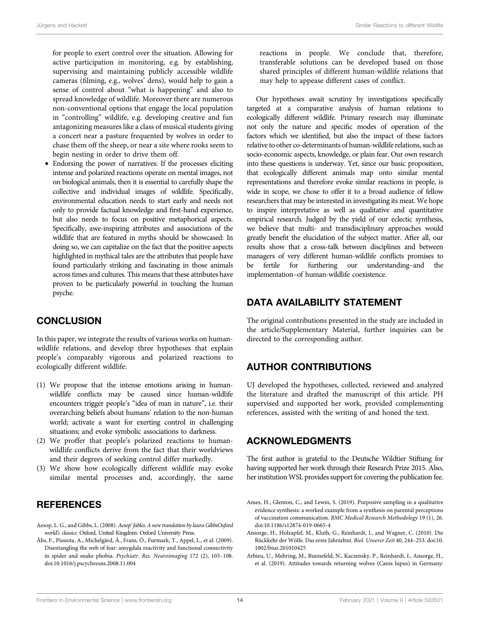for people to exert control over the situation. Allowing for active participation in monitoring, e.g. by establishing, supervising and maintaining publicly accessible wildlife cameras (filming, e.g., wolves' dens), would help to gain a sense of control about "what is happening" and also to spread knowledge of wildlife. Moreover there are numerous non-conventional options that engage the local population in "controlling" wildlife, e.g. developing creative and fun antagonizing measures like a class of musical students giving a concert near a pasture frequented by wolves in order to chase them off the sheep, or near a site where rooks seem to begin nesting in order to drive them off.

• Endorsing the power of narratives: If the processes eliciting intense and polarized reactions operate on mental images, not on biological animals, then it is essential to carefully shape the collective and individual images of wildlife. Specifically, environmental education needs to start early and needs not only to provide factual knowledge and first-hand experience, but also needs to focus on positive metaphorical aspects. Specifically, awe-inspiring attributes and associations of the wildlife that are featured in myths should be showcased: In doing so, we can capitalize on the fact that the positive aspects highlighted in mythical tales are the attributes that people have found particularly striking and fascinating in those animals across times and cultures. This means that these attributes have proven to be particularly powerful in touching the human psyche.

# **CONCLUSION**

In this paper, we integrate the results of various works on humanwildlife relations, and develop three hypotheses that explain people's comparably vigorous and polarized reactions to ecologically different wildlife:

- (1) We propose that the intense emotions arising in humanwildlife conflicts may be caused since human-wildlife encounters trigger people's "idea of man in nature", i.e. their overarching beliefs about humans' relation to the non-human world; activate a want for exerting control in challenging situations; and evoke symbolic associations to darkness.
- (2) We proffer that people's polarized reactions to humanwildlife conflicts derive from the fact that their worldviews and their degrees of seeking control differ markedly.
- (3) We show how ecologically different wildlife may evoke similar mental processes and, accordingly, the same

### **REFERENCES**

- <span id="page-14-3"></span>Aesop, L. G., and Gibbs, L. (2008). Aesop' fables. A new translation by laura GibbsOxford world's classics. Oxford, United Kingdom: Oxford University Press.
- <span id="page-14-4"></span>Åhs, F., Pissiota, A., Michelgård, Å., Frans, Ö., Furmark, T., Appel, L., et al. (2009). Disentangling the web of fear: amygdala reactivity and functional connectivity in spider and snake phobia. Psychiatr. Res. Neuroimaging 172 (2), 103–108. doi:[10.1016/j.pscychresns.2008.11.004](https://doi.org/10.1016/j.pscychresns.2008.11.004)

reactions in people. We conclude that, therefore, transferable solutions can be developed based on those shared principles of different human-wildlife relations that may help to appease different cases of conflict.

Our hypotheses await scrutiny by investigations specifically targeted at a comparative analysis of human relations to ecologically different wildlife. Primary research may illuminate not only the nature and specific modes of operation of the factors which we identified, but also the impact of these factors relative to other co-determinants of human-wildlife relations, such as socio-economic aspects, knowledge, or plain fear. Our own research into these questions is underway. Yet, since our basic proposition, that ecologically different animals map onto similar mental representations and therefore evoke similar reactions in people, is wide in scope, we chose to offer it to a broad audience of fellow researchers that may be interested in investigating its meat. We hope to inspire interpretative as well as qualitative and quantitative empirical research. Judged by the yield of our eclectic synthesis, we believe that multi- and transdisciplinary approaches would greatly benefit the elucidation of the subject matter. After all, our results show that a cross-talk between disciplines and between managers of very different human-wildlife conflicts promises to be fertile for furthering our understanding–and the implementation–of human-wildlife coexistence.

# DATA AVAILABILITY STATEMENT

The original contributions presented in the study are included in the article/Supplementary Material, further inquiries can be directed to the corresponding author.

# AUTHOR CONTRIBUTIONS

UJ developed the hypotheses, collected, reviewed and analyzed the literature and drafted the manuscript of this article. PH supervised and supported her work, provided complementing references, assisted with the writing of and honed the text.

# ACKNOWLEDGMENTS

The first author is grateful to the Deutsche Wildtier Stiftung for having supported her work through their Research Prize 2015. Also, her institution WSL provides support for covering the publication fee.

- <span id="page-14-0"></span>Ames, H., Glenton, C., and Lewin, S. (2019). Purposive sampling in a qualitative evidence synthesis: a worked example from a synthesis on parental perceptions of vaccination communication. BMC Medical Research Methodology 19 (1), 26. doi[:10.1186/s12874-019-0665-4](https://doi.org/10.1186/s12874-019-0665-4)
- <span id="page-14-1"></span>Ansorge, H., Holzapfel, M., Kluth, G., Reinhardt, I., and Wagner, C. (2010). Die Rückkehr der Wölfe. Das erste Jahrzehnt. Biol. Unserer Zeit 40, 244–253. doi[:10.](https://doi.org/10.1002/biuz.201010425) [1002/biuz.201010425](https://doi.org/10.1002/biuz.201010425)
- <span id="page-14-2"></span>Arbieu, U., Mehring, M., Bunnefeld, N., Kaczensky, P., Reinhardt, I., Ansorge, H., et al. (2019). Attitudes towards returning wolves (Canis lupus) in Germany: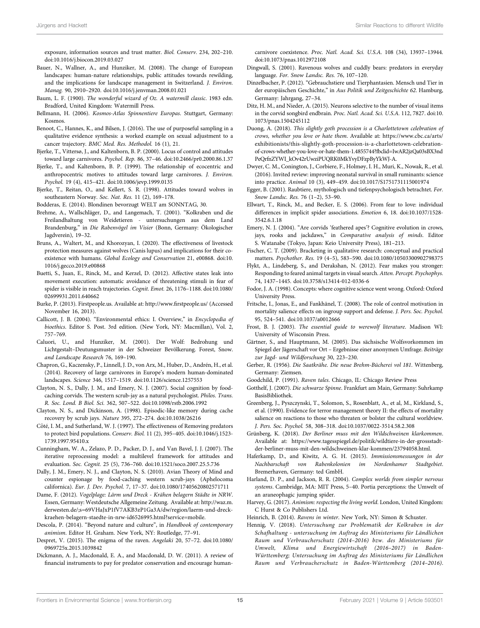exposure, information sources and trust matter. Biol. Conserv. 234, 202–210. doi:[10.1016/j.biocon.2019.03.027](https://doi.org/10.1016/j.biocon.2019.03.027)

- <span id="page-15-42"></span>Bauer, N., Wallner, A., and Hunziker, M. (2008). The change of European landscapes: human-nature relationships, public attitudes towards rewilding, and the implications for landscape management in Switzerland. J. Environ. Manag. 90, 2910–2920. doi:[10.1016/j.jenvman.2008.01.021](https://doi.org/10.1016/j.jenvman.2008.01.021)
- <span id="page-15-17"></span>Baum, L. F. (1900). The wonderful wizard of Oz. A watermill classic. 1983 edn. Bradford, United Kingdom: Watermill Press.
- <span id="page-15-35"></span>Bellmann, H. (2006). Kosmos-Atlas Spinnentiere Europas. Stuttgart, Germany: Kosmos.
- <span id="page-15-3"></span>Benoot, C., Hannes, K., and Bilsen, J. (2016). The use of purposeful sampling in a qualitative evidence synthesis: a worked example on sexual adjustment to a cancer trajectory. BMC Med. Res. Methodol. 16 (1), 21.
- <span id="page-15-9"></span>Bjerke, T., Vittersø, J., and Kaltenborn, B. P. (2000). Locus of control and attitudes toward large carnivores. Psychol. Rep. 86, 37–46. doi:[10.2466/pr0.2000.86.1.37](https://doi.org/10.2466/pr0.2000.86.1.37)
- <span id="page-15-46"></span>Bjerke, T., and Kaltenborn, B. P. (1999). The relationship of ecocentric and anthropocentric motives to attitudes toward large carnivores. J. Environ. Psychol. 19 (4), 415–421. doi:[10.1006/jevp.1999.0135](https://doi.org/10.1006/jevp.1999.0135)
- <span id="page-15-8"></span>Bjerke, T., Reitan, O., and Kellert, S. R. (1998). Attitudes toward wolves in southeastern Norway. Soc. Nat. Res. 11 (2), 169–178.

<span id="page-15-32"></span>Bodderas, E. (2014). Blondinen bevorzugt WELT am SONNTAG, 30.

- <span id="page-15-18"></span>Brehme, A., Wallschläger, D., and Langemach, T. (2001). "Kolkraben und die Freilandhaltung von Weidetieren - untersuchungen aus dem Land Brandenburg," in Die Rabenvögel im Visier (Bonn, Germany: Ökologischer Jagdverein), 19–32.
- <span id="page-15-5"></span>Bruns, A., Waltert, M., and Khorozyan, I. (2020). The effectiveness of livestock protection measures against wolves (Canis lupus) and implications for their coexistence with humans. Global Ecology and Conservation 21, e00868. doi[:10.](https://doi.org/10.1016/j.gecco.2019.e00868) [1016/j.gecco.2019.e00868](https://doi.org/10.1016/j.gecco.2019.e00868)
- <span id="page-15-38"></span>Buetti, S., Juan, E., Rinck, M., and Kerzel, D. (2012). Affective states leak into movement execution: automatic avoidance of threatening stimuli in fear of spider is visible in reach trajectories. Cognit. Emot. 26, 1176–1188. doi:[10.1080/](https://doi.org/10.1080/02699931.2011.640662) [02699931.2011.640662](https://doi.org/10.1080/02699931.2011.640662)
- <span id="page-15-12"></span>Burke, P. (2013). Firstpeople.us. Available at: http://www.fi[rstpeople.us/](http://www.firstpeople.us/) (Accessed November 16, 2013).
- <span id="page-15-43"></span>Callicott, J. B. (2004). "Environmental ethics: I. Overview," in Encyclopedia of bioethics. Editor S. Post. 3rd edition. (New York, NY: Macmillan), Vol. 2, 757–769.
- <span id="page-15-10"></span>Caluori, U., and Hunziker, M. (2001). Der Wolf: Bedrohung und Lichtgestalt–Deutungsmuster in der Schweizer Bevölkerung. Forest, Snow. and Landscape Research 76, 169–190.
- <span id="page-15-7"></span>Chapron, G., Kaczensky, P., Linnell, J. D., von Arx, M., Huber, D., Andrén, H., et al. (2014). Recovery of large carnivores in Europe's modern human-dominated landscapes. Science 346, 1517–1519. doi:[10.1126/science.1257553](https://doi.org/10.1126/science.1257553)
- <span id="page-15-24"></span>Clayton, N. S., Dally, J. M., and Emery, N. J. (2007). Social cognition by foodcaching corvids. The western scrub-jay as a natural psychologist. Philos. Trans. R. Soc. Lond. B Biol. Sci. 362, 507–522. doi:[10.1098/rstb.2006.1992](https://doi.org/10.1098/rstb.2006.1992)
- <span id="page-15-26"></span>Clayton, N. S., and Dickinson, A. (1998). Episodic-like memory during cache recovery by scrub jays. Nature 395, 272–274. doi:[10.1038/26216](https://doi.org/10.1038/26216)
- <span id="page-15-21"></span>Côté, I. M., and Sutherland, W. J. (1997). The effectiveness of Removing predators to protect bird populations. Conserv. Biol. 11 (2), 395–405. doi[:10.1046/j.1523-](https://doi.org/10.1046/j.1523-1739.1997.95410.x) [1739.1997.95410.x](https://doi.org/10.1046/j.1523-1739.1997.95410.x)
- <span id="page-15-45"></span>Cunningham, W. A., Zelazo, P. D., Packer, D. J., and Van Bavel, J. J. (2007). The iterative reprocessing model: a multilevel framework for attitudes and evaluation. Soc. Cognit. 25 (5), 736–760. doi[:10.1521/soco.2007.25.5.736](https://doi.org/10.1521/soco.2007.25.5.736)
- <span id="page-15-25"></span>Dally, J. M., Emery, N. J., and Clayton, N. S. (2010). Avian Theory of Mind and counter espionage by food-caching western scrub-jays (Aphelocoma californica). Eur. J. Dev. Psychol. 7, 17–37. doi:[10.1080/17405620802571711](https://doi.org/10.1080/17405620802571711)
- <span id="page-15-0"></span>Dame, F. (2012). Vogelplage: Lärm und Dreck - Krähen belagern Städte in NRW. Essen, Germany: Westdeutsche Allgemeine Zeitung. Available at: [http://waz.m.](http://waz.m.derwesten.de/;s=69VHaJxP1fV7AKB3zP1Ga3A/dw/region/laerm-und-dreck-kraehen-belagern-staedte-in-nrw-id6526995.html?service=mobile) [derwesten.de/;s](http://waz.m.derwesten.de/;s=69VHaJxP1fV7AKB3zP1Ga3A/dw/region/laerm-und-dreck-kraehen-belagern-staedte-in-nrw-id6526995.html?service=mobile)=[69VHaJxP1fV7AKB3zP1Ga3A/dw/region/laerm-und-dreck](http://waz.m.derwesten.de/;s=69VHaJxP1fV7AKB3zP1Ga3A/dw/region/laerm-und-dreck-kraehen-belagern-staedte-in-nrw-id6526995.html?service=mobile)[kraehen-belagern-staedte-in-nrw-id6526995.html?service](http://waz.m.derwesten.de/;s=69VHaJxP1fV7AKB3zP1Ga3A/dw/region/laerm-und-dreck-kraehen-belagern-staedte-in-nrw-id6526995.html?service=mobile)=[mobile.](http://waz.m.derwesten.de/;s=69VHaJxP1fV7AKB3zP1Ga3A/dw/region/laerm-und-dreck-kraehen-belagern-staedte-in-nrw-id6526995.html?service=mobile)
- <span id="page-15-11"></span>Descola, P. (2014). "Beyond nature and culture", in Handbook of contemporary animism. Editor H. Graham. New York, NY: Routledge, 77–91.
- <span id="page-15-29"></span>Despret, V. (2015). The enigma of the raven. Angelaki 20, 57–72. doi:[10.1080/](https://doi.org/10.1080/0969725x.2015.1039842) [0969725x.2015.1039842](https://doi.org/10.1080/0969725x.2015.1039842)
- <span id="page-15-6"></span>Dickmann, A. J., Macdonald, E. A., and Macdonald, D. W. (2011). A review of financial instruments to pay for predator conservation and encourage human-

carnivore coexistence. Proc. Natl. Acad. Sci. U.S.A. 108 (34), 13937–13944. doi[:10.1073/pnas.1012972108](https://doi.org/10.1073/pnas.1012972108)

- <span id="page-15-15"></span>Dingwall, S. (2001). Ravenous wolves and cuddly bears: predators in everyday language. For. Snow Landsc. Res. 76, 107–120.
- <span id="page-15-16"></span>Dinzelbacher, P. (2012). "Gebrauchstiere und Tierphantasien. Mensch und Tier in der europäischen Geschichte," in Aus Politik und Zeitgeschichte 62. Hamburg, Germany: Jahrgang, 27–34.
- <span id="page-15-27"></span>Ditz, H. M., and Nieder, A. (2015). Neurons selective to the number of visual items in the corvid songbird endbrain. Proc. Natl. Acad. Sci. U.S.A. 112, 7827. doi[:10.](https://doi.org/10.1073/pnas.1504245112) [1073/pnas.1504245112](https://doi.org/10.1073/pnas.1504245112)
- <span id="page-15-47"></span>Duong, A. (2018). This slightly goth procession is a Charlottetown celebration of crows, whether you love or hate them. Available at: [https://www.cbc.ca/arts/](https://www.cbc.ca/arts/exhibitionists/this-slightly-goth-procession-is-a-charlottetown-celebration-of-crows-whether-you-love-or-hate-them-1.4855744?fbclid=IwAR2jzQa03sBX3ndPeQrfnZYWI_kOv42rUwziPUQRK0MkYvyDFzpByYkWJ-A) [exhibitionists/this-slightly-goth-procession-is-a-charlottetown-celebration](https://www.cbc.ca/arts/exhibitionists/this-slightly-goth-procession-is-a-charlottetown-celebration-of-crows-whether-you-love-or-hate-them-1.4855744?fbclid=IwAR2jzQa03sBX3ndPeQrfnZYWI_kOv42rUwziPUQRK0MkYvyDFzpByYkWJ-A)[of-crows-whether-you-love-or-hate-them-1.4855744?fbclid](https://www.cbc.ca/arts/exhibitionists/this-slightly-goth-procession-is-a-charlottetown-celebration-of-crows-whether-you-love-or-hate-them-1.4855744?fbclid=IwAR2jzQa03sBX3ndPeQrfnZYWI_kOv42rUwziPUQRK0MkYvyDFzpByYkWJ-A)=[IwAR2jzQa03sBX3nd](https://www.cbc.ca/arts/exhibitionists/this-slightly-goth-procession-is-a-charlottetown-celebration-of-crows-whether-you-love-or-hate-them-1.4855744?fbclid=IwAR2jzQa03sBX3ndPeQrfnZYWI_kOv42rUwziPUQRK0MkYvyDFzpByYkWJ-A) [PeQrfnZYWI\\_kOv42rUwziPUQRK0MkYvyDFzpByYkWJ-A.](https://www.cbc.ca/arts/exhibitionists/this-slightly-goth-procession-is-a-charlottetown-celebration-of-crows-whether-you-love-or-hate-them-1.4855744?fbclid=IwAR2jzQa03sBX3ndPeQrfnZYWI_kOv42rUwziPUQRK0MkYvyDFzpByYkWJ-A)
- <span id="page-15-20"></span>Dwyer, C. M., Conington, J., Corbiere, F., Holmøy, I. H., Muri, K., Nowak, R., et al. (2016). Invited review: improving neonatal survival in small ruminants: science into practice. Animal 10 (3), 449–459. doi[:10.1017/S1751731115001974](https://doi.org/10.1017/S1751731115001974)
- <span id="page-15-14"></span>Egger, B. (2001). Raubtiere, mythologisch und tiefenpsychologisch betrachtet. For. Snow Landsc. Res. 76 (1–2), 53–90.
- <span id="page-15-37"></span>Ellwart, T., Rinck, M., and Becker, E. S. (2006). From fear to love: individual differences in implicit spider associations. Emotion 6, 18. doi[:10.1037/1528-](https://doi.org/10.1037/1528-3542.6.1.18) [3542.6.1.18](https://doi.org/10.1037/1528-3542.6.1.18)
- <span id="page-15-34"></span>Emery, N. J. (2004). "Are corvids 'feathered apes'? Cognitive evolution in crows, jays, rooks and jackdaws," in Comparative analysis of minds. Editor S. Watanabe (Tokyo, Japan: Keio University Press), 181–213.
- <span id="page-15-2"></span>Fischer, C. T. (2009). Bracketing in qualitative research: conceptual and practical matters. Psychother. Res. 19 (4–5), 583–590. doi[:10.1080/10503300902798375](https://doi.org/10.1080/10503300902798375)
- <span id="page-15-39"></span>Flykt, A., Lindeberg, S., and Derakshan, N. (2012). Fear makes you stronger: Responding to feared animal targets in visual search. Atten. Percept. Psychophys. 74, 1437–1445. doi[:10.3758/s13414-012-0336-6](https://doi.org/10.3758/s13414-012-0336-6)
- <span id="page-15-44"></span>Fodor, J. A. (1998). Concepts: where cognitive science went wrong. Oxford: Oxford University Press.
- <span id="page-15-31"></span>Fritsche, I., Jonas, E., and Fankhänel, T. (2008). The role of control motivation in mortality salience effects on ingroup support and defense. J. Pers. Soc. Psychol. 95, 524–541. doi[:10.1037/a0012666](https://doi.org/10.1037/a0012666)
- <span id="page-15-13"></span>Frost, B. J. (2003). The essential guide to werewolf literature. Madison WI: University of Wisconsin Press.
- <span id="page-15-4"></span>Gärtner, S., and Hauptmann, M. (2005). Das sächsische Wolfsvorkommen im Spiegel der Jägerschaft vor Ort – Ergebnisse einer anonymen Umfrage. Beiträge zur Jagd- und Wildforschung 30, 223–230.
- <span id="page-15-22"></span>Gerber, R. (1956). Die Saatkrähe. Die neue Brehm-Bücherei vol 181. Wittenberg, Germany: Ziemsen.
- <span id="page-15-33"></span>Goodchild, P. (1991). Raven tales. Chicago, IL: Chicago Review Press
- <span id="page-15-40"></span>Gotthelf, J. (2007). Die schwarze Spinne. Frankfurt am Main, Germany: Suhrkamp BasisBibliothek.
- <span id="page-15-30"></span>Greenberg, J., Pyszczynski, T., Solomon, S., Rosenblatt, A., et al, M., Kirkland, S., et al. (1990). Evidence for terror management theory II: the effects of mortality salience on reactions to those who threaten or bolster the cultural worldview. J. Pers. Soc. Psychol. 58, 308–318. doi[:10.1037/0022-3514.58.2.308](https://doi.org/10.1037/0022-3514.58.2.308)
- <span id="page-15-1"></span>Grünberg, K. (2018). Der Berliner muss mit den Wildschweinen klarkommen. Available at: [https://www.tagesspiegel.de/politik/wildtiere-in-der-grossstadt](https://www.tagesspiegel.de/politik/wildtiere-in-der-grossstadt-der-berliner-muss-mit-den-wildschweinen-klar-kommen/23794058.html)[der-berliner-muss-mit-den-wildschweinen-klar-kommen/23794058.html.](https://www.tagesspiegel.de/politik/wildtiere-in-der-grossstadt-der-berliner-muss-mit-den-wildschweinen-klar-kommen/23794058.html)
- <span id="page-15-23"></span>Haferkamp, D., and Kiwitz, A. G. H. (2015). Immissionsmessungen in der Nachbarschaft von Rabenkolonien im Nordenhamer Stadtgebiet. Bremerhaven, Germany: ted GmbH.
- <span id="page-15-36"></span>Harland, D. P., and Jackson, R. R. (2004). Complex worlds from simpler nervous systems. Cambridge, MA: MIT Press, 5–40. Portia perceptions: the Umwelt of an araneophagic jumping spider.
- <span id="page-15-41"></span>Harvey, G. (2017). Animism: respecting the living world. London, United Kingdom: C Hurst & Co Publishers Ltd.
- <span id="page-15-28"></span>Heinrich, B. (2014). Ravens in winter. New York, NY: Simon & Schuster.
- <span id="page-15-19"></span>Hennig, V. (2018). Untersuchung zur Problematik der Kolkraben in der Schafhaltung - untersuchung im Auftrag des Ministeriums für Ländlichen Raum und Verbraucherschutz (2014–2016) bzw. des Ministeriums für Umwelt, Klima und Energiewirtschaft (2016–2017) in Baden-Württemberg; Untersuchung im Auftrag des Ministeriums für Ländlichen Raum und Verbraucherschutz in Baden-Württemberg (2014–2016).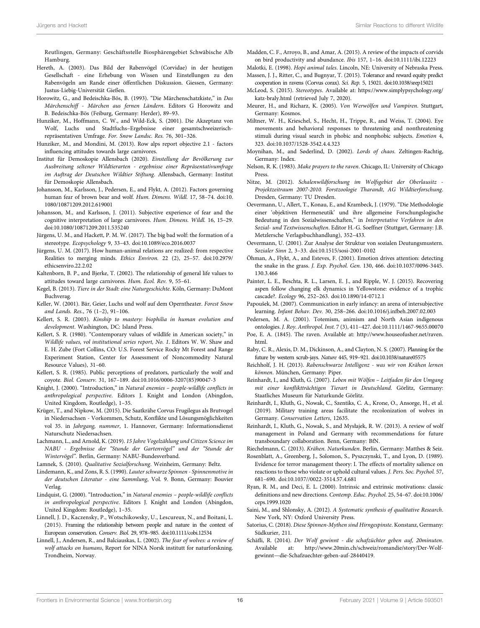Reutlingen, Germany: Geschäftsstelle Biosphärengebiet Schwäbische Alb Hamburg.

- <span id="page-16-33"></span>Hereth, A. (2003). Das Bild der Rabenvögel (Corvidae) in der heutigen Gesellschaft - eine Erhebung von Wissen und Einstellungen zu den Rabenvögeln am Rande einer öffentlichen Diskussion. Giessen, Germany: Justus-Liebig-Universität Gießen.
- <span id="page-16-43"></span>Horowitz, G., and Bedeischka-Bös, B. (1993). "Die Märchenschatzkiste," in Das Märchenschiff - Märchen aus fernen Ländern. Editors G Horowitz and B. Bedeischka-Bös (Feiburg, Germany: Herder), 89–93.
- <span id="page-16-3"></span>Hunziker, M., Hoffmann, C. W., and Wild-Eck, S. (2001). Die Akzeptanz von Wolf, Luchs und Stadtfuchs–Ergebnisse einer gesamtschweizerischrepräsentativen Umfrage. For. Snow Landsc. Res. 76, 301–326.
- <span id="page-16-16"></span>Hunziker, M., and Mondini, M. (2013). Row alps report objective 2.1 - factors influencing attitudes towards large carnivores.
- <span id="page-16-13"></span>Institut für Demoskopie Allensbach (2020). Einstellung der Bevölkerung zur Ausbreitung seltener Wildtierarten - ergebnisse einer Repräsentativumfrage im Auftrag der Deutschen Wildtier Stiftung. Allensbach, Germany: Institut für Demoskopie Allensbach.
- <span id="page-16-18"></span>Johansson, M., Karlsson, J., Pedersen, E., and Flykt, A. (2012). Factors governing human fear of brown bear and wolf. Hum. Dimens. Wildl. 17, 58–74. doi[:10.](https://doi.org/10.1080/10871209.2012.619001) [1080/10871209.2012.619001](https://doi.org/10.1080/10871209.2012.619001)
- <span id="page-16-2"></span>Johansson, M., and Karlsson, J. (2011). Subjective experience of fear and the cognitive interpretation of large carnivores. Hum. Dimens. Wildl. 16, 15–29. doi:[10.1080/10871209.2011.535240](https://doi.org/10.1080/10871209.2011.535240)
- <span id="page-16-25"></span>Jürgens, U. M., and Hackett, P. M. W. (2017). The big bad wolf: the formation of a stereotype. Ecopsychology 9, 33–43. doi[:10.1089/eco.2016.0037](https://doi.org/10.1089/eco.2016.0037)
- <span id="page-16-39"></span>Jürgens, U. M. (2017). How human-animal relations are realized: from respective Realities to merging minds. Ethics Environ. 22 (2), 25–57. doi:[10.2979/](https://doi.org/10.2979/ethicsenviro.22.2.02) [ethicsenviro.22.2.02](https://doi.org/10.2979/ethicsenviro.22.2.02)
- <span id="page-16-17"></span>Kaltenborn, B. P., and Bjerke, T. (2002). The relationship of general life values to attitudes toward large carnivores. Hum. Ecol. Rev. 9, 55–61.
- <span id="page-16-29"></span>Kegel, B. (2013). Tiere in der Stadt: eine Naturgeschichte. Köln, Germany: DuMont Buchverag.
- <span id="page-16-23"></span>Keller, W. (2001). Bär, Geier, Luchs und wolf auf dem Operntheater. Forest Snow and Lands. Res., 76 (1–2), 91–106.
- <span id="page-16-26"></span>Kellert, S. R. (2003). Kinship to mastery: biophilia in human evolution and development. Washington, DC: Island Press.
- <span id="page-16-14"></span>Kellert, S. R. (1980). "Contemporary values of wildlife in American society," in Wildlife values, vol institutional series report, No. 1. Editors W. W. Shaw and E. H. Zube (Fort Collins, CO: U.S. Forest Service Rocky Mt Forest and Range Experiment Station, Center for Assessment of Noncommodity Natural Resource Values), 31–60.
- <span id="page-16-15"></span>Kellert, S. R. (1985). Public perceptions of predators, particularly the wolf and coyote. Biol. Conserv. 31, 167–189. doi[:10.1016/0006-3207\(85\)90047-3](https://doi.org/10.1016/0006-3207(85)90047-3)
- <span id="page-16-22"></span>Knight, J. (2000). "Introduction," in Natural enemies – people-wildlife conflicts in anthropological perspective. Editors J. Knight and London (Abingdon, United Kingdom, Routledge), 1–35.
- <span id="page-16-30"></span>Krüger, T., and Nipkow, M. (2015). Die Saatkrähe Corvus Frugilegus als Brutvogel in Niedersachsen - Vorkommen, Schutz, Konflikte und Lösungsmöglichkeiten vol 35. in Jahrgang, nummer, 1. Hannover, Germany: Informationsdienst Naturschutz Niedersachsen.
- <span id="page-16-28"></span>Lachmann, L., and Arnold, K. (2019). 15 Jahre Vogelzählung und Citizen Science im NABU - Ergebnisse der "Stunde der Gartenvögel" und der "Stunde der Wintervögel". Berlin, Germany: NABU-Bundesverband.
- <span id="page-16-5"></span>Lamnek, S. (2010). Qualitative Sozialforschung. Weinheim, Germany: Beltz.
- <span id="page-16-40"></span>Lindemann, K., and Zons, R. S. (1990). Lauter schwarze Spinnen - Spinnenmotive in der deutschen Literatur - eine Sammlung, Vol. 9. Bonn, Germany: Bouvier Verlag.
- <span id="page-16-20"></span>Lindquist, G. (2000). "Introduction," in Natural enemies – people-wildlife conflicts in anthropological perspective. Editors J. Knight and London (Abingdon, United Kingdom: Routledge), 1–35.
- <span id="page-16-46"></span>Linnell, J. D., Kaczensky, P., Wotschikowsky, U., Lescureux, N., and Boitani, L. (2015). Framing the relationship between people and nature in the context of European conservation. Conserv. Biol. 29, 978–985. doi[:10.1111/cobi.12534](https://doi.org/10.1111/cobi.12534)
- <span id="page-16-10"></span>Linnell, J., Andersen, R., and Balciauskas, L. (2002). The fear of wolves: a review of wolf attacks on humans, Report for NINA Norsk institutt for naturforskning. Trondheim, Norway.
- <span id="page-16-27"></span>Madden, C. F., Arroyo, B., and Amar, A. (2015). A review of the impacts of corvids on bird productivity and abundance. Ibis 157, 1–16. doi[:10.1111/ibi.12223](https://doi.org/10.1111/ibi.12223)
- <span id="page-16-44"></span><span id="page-16-32"></span>Malotki, E. (1998). Hopi animal tales. Lincoln, NE: University of Nebraska Press. Massen, J. J., Ritter, C., and Bugnyar, T. (2015). Tolerance and reward equity predict
- <span id="page-16-48"></span>cooperation in ravens (Corvus corax). Sci. Rep. 5, 15021. doi[:10.1038/srep15021](https://doi.org/10.1038/srep15021) McLeod, S. (2015). Stereotypes. Available at: [https://www.simplypsychology.org/](https://www.simplypsychology.org/katz-braly.html)
- [katz-braly.html](https://www.simplypsychology.org/katz-braly.html) (retrieved July 7, 2020).
- <span id="page-16-21"></span>Meurer, H., and Richarz, K. (2005). Von Werwölfen und Vampiren. Stuttgart, Germany: Kosmos.
- <span id="page-16-41"></span>Miltner, W. H., Krieschel, S., Hecht, H., Trippe, R., and Weiss, T. (2004). Eye movements and behavioral responses to threatening and nonthreatening stimuli during visual search in phobic and nonphobic subjects. Emotion 4, 323. doi[:10.1037/1528-3542.4.4.323](https://doi.org/10.1037/1528-3542.4.4.323)
- <span id="page-16-49"></span>Moynihan, M., and Søderlind, D. (2002). Lords of chaos. Zeltingen-Rachtig, Germany: Index.
- <span id="page-16-36"></span>Nelson, R. K. (1983). Make prayers to the raven. Chicago, IL: University of Chicago Press.
- <span id="page-16-11"></span>Nitze, M. (2012). Schalenwildforschung im Wolfsgebiet der Oberlausitz - Projektzeitraum 2007-2010. Forstzoologie Tharandt, AG Wildtierforschung. Dresden, Germany: TU Dresden.
- <span id="page-16-6"></span>Oevermann, U., Allert, T., Konau, E., and Krambeck, J. (1979). "Die Methodologie einer 'objektiven Hermeneutik' und ihre allgemeine Forschungslogische Bedeutung in den Sozialwissenschaften," in Interpretative Verfahren in den Sozial- und Textwissenschaften. Editor H.-G. Soeffner (Stuttgart, Germany: J.B. Metzlersche Verlagsbuchhandlung), 352–433.
- <span id="page-16-45"></span>Oevermann, U. (2001). Zur Analyse der Struktur von sozialen Deutungsmustern. Sozialer Sinn 2, 3–33. doi[:10.1515/sosi-2001-0102](https://doi.org/10.1515/sosi-2001-0102)
- <span id="page-16-42"></span>Öhman, A., Flykt, A., and Esteves, F. (2001). Emotion drives attention: detecting the snake in the grass. J. Exp. Psychol. Gen. 130, 466. doi[:10.1037/0096-3445.](https://doi.org/10.1037/0096-3445.130.3.466) [130.3.466](https://doi.org/10.1037/0096-3445.130.3.466)
- <span id="page-16-8"></span>Painter, L. E., Beschta, R. L., Larsen, E. J., and Ripple, W. J. (2015). Recovering aspen follow changing elk dynamics in Yellowstone: evidence of a trophic cascade?. Ecology 96, 252–263. doi[:10.1890/14-0712.1](https://doi.org/10.1890/14-0712.1)
- <span id="page-16-24"></span>Papoušek, M. (2007). Communication in early infancy: an arena of intersubjective learning. Infant Behav. Dev. 30, 258–266. doi[:10.1016/j.infbeh.2007.02.003](https://doi.org/10.1016/j.infbeh.2007.02.003)

<span id="page-16-19"></span>Pedersen, M. A. (2001). Totemism, animism and North Asian indigenous ontologies. J. Roy. Anthropol. Inst. 7 (3), 411–427. doi[:10.1111/1467-9655.00070](https://doi.org/10.1111/1467-9655.00070)

<span id="page-16-38"></span>Poe, E. A. (1845). The raven. Available at: [http://www.houseofusher.net/raven.](http://www.houseofusher.net/raven.html) [html](http://www.houseofusher.net/raven.html).

- <span id="page-16-31"></span>Raby, C. R., Alexis, D. M., Dickinson, A., and Clayton, N. S. (2007). Planning for the future by western scrub-jays. Nature 445, 919–921. doi[:10.1038/nature05575](https://doi.org/10.1038/nature05575)
- <span id="page-16-37"></span>Reichholf, J. H. (2013). Rabenschwarze Intelligenz - was wir von Krähen lernen können. München, Germany: Piper.
- <span id="page-16-12"></span>Reinhardt, I., and Kluth, G. (2007). Leben mit Wölfen – Leitfaden für den Umgang mit einer konfliktträchtigen Tierart in Deutschland. Görlitz, Germany: Staatliches Museum für Naturkunde Görlitz.
- <span id="page-16-9"></span>Reinhardt, I., Kluth, G., Nowak, C., Szentiks, C. A., Krone, O., Ansorge, H., et al. (2019). Military training areas facilitate the recolonization of wolves in Germany. Conservation Letters, 12635.
- <span id="page-16-7"></span>Reinhardt, I., Kluth, G., Nowak, S., and Mysłajek, R. W. (2013). A review of wolf management in Poland and Germany with recommendations for future transboundary collaboration. Benn, Germany: BfN.

<span id="page-16-35"></span>Riechelmann, C. (2013). Krähen. Naturkunden. Berlin, Germany: Matthes & Seiz.

- <span id="page-16-34"></span>Rosenblatt, A., Greenberg, J., Solomon, S., Pyszczynski, T., and Lyon, D. (1989). Evidence for terror management theory: I. The effects of mortality salience on reactions to those who violate or uphold cultural values. J. Pers. Soc. Psychol. 57, 681–690. doi:[10.1037//0022-3514.57.4.681](https://doi.org/10.1037//0022-3514.57.4.681)
- <span id="page-16-47"></span>Ryan, R. M., and Deci, E. L. (2000). Intrinsic and extrinsic motivations: classic definitions and new directions. Contemp. Educ. Psychol. 25, 54–67. doi[:10.1006/](https://doi.org/10.1006/ceps.1999.1020) [ceps.1999.1020](https://doi.org/10.1006/ceps.1999.1020)
- <span id="page-16-4"></span>Saini, M., and Shlonsky, A. (2012). A Systematic synthesis of qualitative Research. New York, NY: Oxford University Press.
- <span id="page-16-0"></span>Satorius, C. (2018). Diese Spinnen-Mythen sind Hirngespinste. Konstanz, Germany: Südkurier, 211.
- <span id="page-16-1"></span>Schäfli, R. (2014). Der Wolf gewinnt - die schafzüchter geben auf, 20minuten. Available at: [http://www.20min.ch/schweiz/romandie/story/Der-Wolf](http://www.20min.ch/schweiz/romandie/story/Der-Wolf-gewinnt---die-Schafzuechter-geben-auf-28440419)gewinnt—[die-Schafzuechter-geben-auf-28440419](http://www.20min.ch/schweiz/romandie/story/Der-Wolf-gewinnt---die-Schafzuechter-geben-auf-28440419).